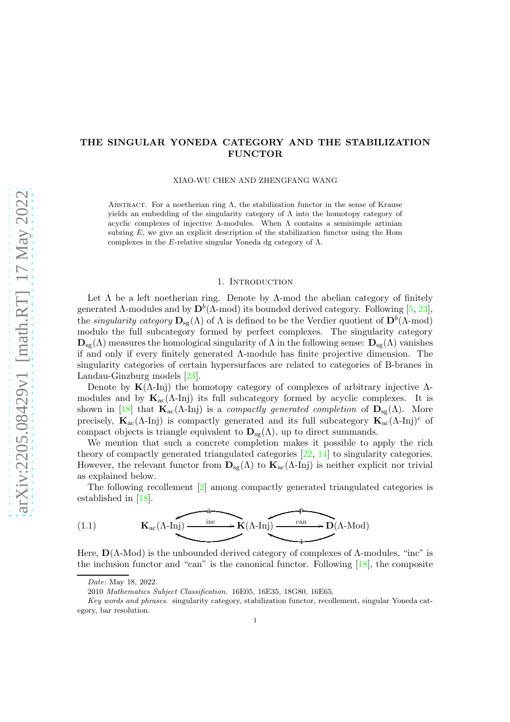# <span id="page-0-1"></span>THE SINGULAR YONEDA CATEGORY AND THE STABILIZATION FUNCTOR

XIAO-WU CHEN AND ZHENGFANG WANG

ABSTRACT. For a noetherian ring  $\Lambda$ , the stabilization functor in the sense of Krause yields an embedding of the singularity category of  $\Lambda$  into the homotopy category of acyclic complexes of injective  $\Lambda$ -modules. When  $\Lambda$  contains a semisimple artinian subring  $E$ , we give an explicit description of the stabilization functor using the Hom complexes in the E-relative singular Yoneda dg category of  $\Lambda$ .

#### 1. Introduction

Let  $\Lambda$  be a left noetherian ring. Denote by  $\Lambda$ -mod the abelian category of finitely generated  $\Lambda$ -modules and by  $\mathbf{D}^b(\Lambda\text{-mod})$  its bounded derived category. Following [\[5,](#page-26-0) [23\]](#page-27-0), the *singularity category*  $D_{sg}(\Lambda)$  of  $\Lambda$  is defined to be the Verdier quotient of  $D^b(\Lambda\text{-mod})$ modulo the full subcategory formed by perfect complexes. The singularity category  $\mathbf{D}_{\rm sg}(\Lambda)$  measures the homological singularity of  $\Lambda$  in the following sense:  $\mathbf{D}_{\rm sg}(\Lambda)$  vanishes if and only if every finitely generated Λ-module has finite projective dimension. The singularity categories of certain hypersurfaces are related to categories of B-branes in Landau-Ginzburg models [\[23\]](#page-27-0).

Denote by  $K(\Lambda$ -Inj) the homotopy category of complexes of arbitrary injective  $\Lambda$ modules and by  $K_{ac}(\Lambda$ -Inj) its full subcategory formed by acyclic complexes. It is shown in [\[18\]](#page-27-1) that  $\mathbf{K}_{ac}(\Lambda$ -Inj) is a *compactly generated completion* of  $\mathbf{D}_{sg}(\Lambda)$ . More precisely,  $\mathbf{K}_{ac}(\Lambda$ -Inj) is compactly generated and its full subcategory  $\mathbf{K}_{ac}(\Lambda$ -Inj)<sup>c</sup> of compact objects is triangle equivalent to  $\mathbf{D}_{\text{sg}}(\Lambda)$ , up to direct summands.

We mention that such a concrete completion makes it possible to apply the rich theory of compactly generated triangulated categories  $[22, 14]$  $[22, 14]$  to singularity categories. However, the relevant functor from  $\mathbf{D}_{\rm sg}(\Lambda)$  to  $\mathbf{K}_{\rm ac}(\Lambda\text{-Inj})$  is neither explicit nor trivial as explained below.

The following recollement [\[2\]](#page-26-1) among compactly generated triangulated categories is established in [\[18\]](#page-27-1).

<span id="page-0-0"></span>(1.1) 
$$
\mathbf{K}_{ac}(\Lambda \text{-Inj}) \xrightarrow{\text{inc}} \mathbf{K}(\Lambda \text{-Inj}) \xrightarrow{\text{can}} \mathbf{D}(\Lambda \text{-Mod})
$$

Here,  $\mathbf{D}(\Lambda\text{-Mod})$  is the unbounded derived category of complexes of  $\Lambda\text{-modules}$ , "inc" is the inclusion functor and "can" is the canonical functor. Following [\[18\]](#page-27-1), the composite

Date: May 18, 2022.

<sup>2010</sup> Mathematics Subject Classification. 16E05, 16E35, 18G80, 16E65.

Key words and phrases. singularity category, stabilization functor, recollement, singular Yoneda category, bar resolution.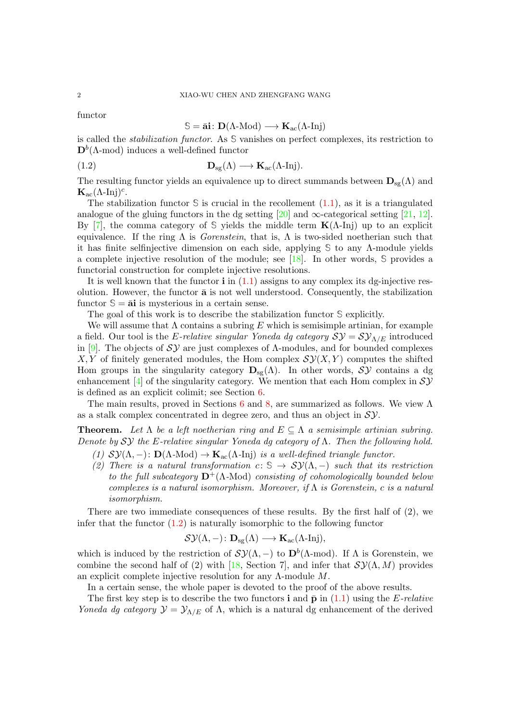functor

# $\mathbb{S} = \bar{\mathbf{a}}$ **i**:  $\mathbf{D}(\Lambda\text{-Mod}) \longrightarrow \mathbf{K}_{ac}(\Lambda\text{-Inj})$

is called the stabilization functor. As **S** vanishes on perfect complexes, its restriction to  $\mathbf{D}^b(\Lambda\text{-mod})$  induces a well-defined functor

<span id="page-1-0"></span>(1.2) 
$$
\mathbf{D}_{\rm sg}(\Lambda) \longrightarrow \mathbf{K}_{\rm ac}(\Lambda\text{-Inj}).
$$

The resulting functor yields an equivalence up to direct summands between  $\mathbf{D}_{\rm sg}(\Lambda)$  and  $\mathbf{K}_{\text{ac}}(\Lambda\text{-Inj})^c$ .

The stabilization functor  $S$  is crucial in the recollement  $(1.1)$ , as it is a triangulated analogue of the gluing functors in the dg setting [\[20\]](#page-27-4) and  $\infty$ -categorical setting [\[21,](#page-27-5) [12\]](#page-27-6). By [\[7\]](#page-26-2), the comma category of  $\mathcal S$  yields the middle term **K**(Λ-Inj) up to an explicit equivalence. If the ring  $\Lambda$  is *Gorenstein*, that is,  $\Lambda$  is two-sided noetherian such that it has finite selfinjective dimension on each side, applying **S** to any Λ-module yields a complete injective resolution of the module; see [\[18\]](#page-27-1). In other words, **S** provides a functorial construction for complete injective resolutions.

It is well known that the functor  $\mathbf{i}$  in  $(1.1)$  assigns to any complex its dg-injective resolution. However, the functor  $\bar{a}$  is not well understood. Consequently, the stabilization functor  $\mathcal{S} = \overline{\mathbf{a}}$  is mysterious in a certain sense.

The goal of this work is to describe the stabilization functor **S** explicitly.

We will assume that  $\Lambda$  contains a subring E which is semisimple artinian, for example a field. Our tool is the E-relative singular Yoneda dg category  $\mathcal{SY} = \mathcal{SY}_{\Lambda/E}$  introduced in [\[9\]](#page-27-7). The objects of  $\mathcal{SY}$  are just complexes of  $\Lambda$ -modules, and for bounded complexes  $X, Y$  of finitely generated modules, the Hom complex  $\mathcal{SY}(X, Y)$  computes the shifted Hom groups in the singularity category  $D_{sg}(\Lambda)$ . In other words,  $S\mathcal{Y}$  contains a dg enhancement [\[4\]](#page-26-3) of the singularity category. We mention that each Hom complex in  $S\mathcal{Y}$ is defined as an explicit colimit; see Section [6.](#page-16-0)

The main results, proved in Sections [6](#page-16-0) and [8,](#page-23-0) are summarized as follows. We view  $\Lambda$ as a stalk complex concentrated in degree zero, and thus an object in  $S$ *y*.

**Theorem.** Let  $\Lambda$  be a left noetherian ring and  $E \subseteq \Lambda$  a semisimple artinian subring. Denote by  $\mathcal{SY}$  the E-relative singular Yoneda dg category of  $\Lambda$ . Then the following hold.

- (1)  $\mathcal{SY}(\Lambda,-)$ :  $\mathbf{D}(\Lambda\text{-Mod}) \to \mathbf{K}_{\text{ac}}(\Lambda\text{-Inj})$  is a well-defined triangle functor.
- (2) There is a natural transformation  $c: S \to \mathcal{SV}(\Lambda, -)$  such that its restriction to the full subcategory  $\mathbf{D}^+(\Lambda\text{-Mod})$  consisting of cohomologically bounded below complexes is a natural isomorphism. Moreover, if  $\Lambda$  is Gorenstein, c is a natural isomorphism.

There are two immediate consequences of these results. By the first half of (2), we infer that the functor  $(1.2)$  is naturally isomorphic to the following functor

$$
\mathcal{SY}(\Lambda,-)\colon \bf{D}_{sg}(\Lambda) \longrightarrow \bf{K}_{ac}(\Lambda\text{-Inj}),
$$

which is induced by the restriction of  $\mathcal{SY}(\Lambda,-)$  to  $\mathbf{D}^b(\Lambda\text{-mod})$ . If  $\Lambda$  is Gorenstein, we combine the second half of (2) with [\[18,](#page-27-1) Section 7], and infer that  $\mathcal{SY}(\Lambda, M)$  provides an explicit complete injective resolution for any  $\Lambda$ -module  $M$ .

In a certain sense, the whole paper is devoted to the proof of the above results.

The first key step is to describe the two functors **i** and  $\bar{\mathbf{p}}$  in [\(1.1\)](#page-0-0) using the E-relative Yoneda dg category  $\mathcal{Y} = \mathcal{Y}_{\Lambda/E}$  of  $\Lambda$ , which is a natural dg enhancement of the derived

<span id="page-1-1"></span>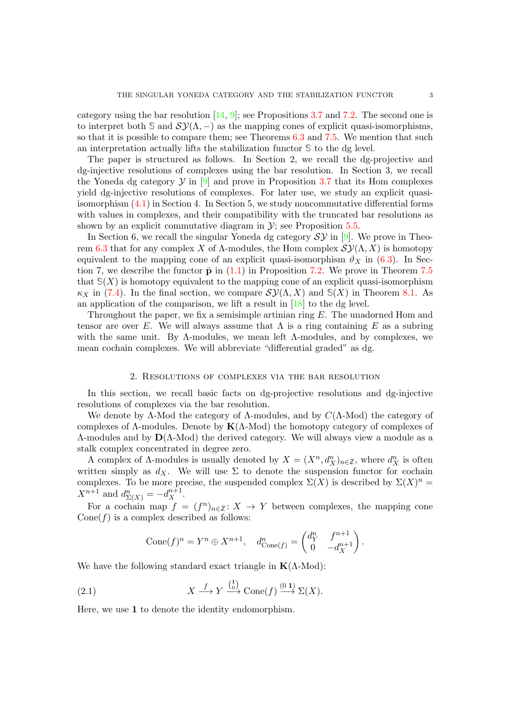<span id="page-2-1"></span>category using the bar resolution  $[14, 9]$  $[14, 9]$ ; see Propositions [3.7](#page-9-0) and [7.2.](#page-19-0) The second one is to interpret both  $\Im$  and  $\mathcal{SY}(\Lambda, -)$  as the mapping cones of explicit quasi-isomorphisms, so that it is possible to compare them; see Theorems [6.3](#page-17-0) and [7.5.](#page-21-0) We mention that such an interpretation actually lifts the stabilization functor **S** to the dg level.

The paper is structured as follows. In Section 2, we recall the dg-projective and dg-injective resolutions of complexes using the bar resolution. In Section 3, we recall the Yoneda dg category  $\mathcal Y$  in  $[9]$  and prove in Proposition [3.7](#page-9-0) that its Hom complexes yield dg-injective resolutions of complexes. For later use, we study an explicit quasiisomorphism [\(4.1\)](#page-10-0) in Section 4. In Section 5, we study noncommutative differential forms with values in complexes, and their compatibility with the truncated bar resolutions as shown by an explicit commutative diagram in  $\mathcal{Y}$ ; see Proposition [5.5.](#page-15-0)

In Section 6, we recall the singular Yoneda dg category  $\mathcal{SY}$  in [\[9\]](#page-27-7). We prove in Theo-rem [6.3](#page-17-0) that for any complex X of Λ-modules, the Hom complex  $\mathcal{SY}(\Lambda, X)$  is homotopy equivalent to the mapping cone of an explicit quasi-isomorphism  $\vartheta_X$  in [\(6.3\)](#page-17-1). In Section 7, we describe the functor  $\bar{p}$  in [\(1.1\)](#page-0-0) in Proposition [7.2.](#page-19-0) We prove in Theorem [7.5](#page-21-0) that  $S(X)$  is homotopy equivalent to the mapping cone of an explicit quasi-isomorphism  $\kappa_X$  in [\(7.4\)](#page-21-1). In the final section, we compare  $\mathcal{SV}(\Lambda, X)$  and  $\mathcal{S}(X)$  in Theorem [8.1.](#page-24-0) As an application of the comparison, we lift a result in [\[18\]](#page-27-1) to the dg level.

Throughout the paper, we fix a semisimple artinian ring E. The unadorned Hom and tensor are over E. We will always assume that  $\Lambda$  is a ring containing E as a subring with the same unit. By  $\Lambda$ -modules, we mean left  $\Lambda$ -modules, and by complexes, we mean cochain complexes. We will abbreviate "differential graded" as dg.

#### 2. Resolutions of complexes via the bar resolution

In this section, we recall basic facts on dg-projective resolutions and dg-injective resolutions of complexes via the bar resolution.

We denote by  $\Lambda$ -Mod the category of  $\Lambda$ -modules, and by  $C(\Lambda$ -Mod) the category of complexes of  $\Lambda$ -modules. Denote by  $K(\Lambda$ -Mod) the homotopy category of complexes of  $\Lambda$ -modules and by  $\mathbf{D}(\Lambda\text{-Mod})$  the derived category. We will always view a module as a stalk complex concentrated in degree zero.

A complex of  $\Lambda$ -modules is usually denoted by  $X = (X^n, d_X^n)_{n \in \mathbb{Z}}$ , where  $d_X^n$  is often written simply as  $d_X$ . We will use  $\Sigma$  to denote the suspension functor for cochain complexes. To be more precise, the suspended complex  $\Sigma(X)$  is described by  $\Sigma(X)^n =$  $X^{n+1}$  and  $d_{\Sigma(X)}^n = -d_X^{n+1}$ .

For a cochain map  $f = (f^n)_{n \in \mathbb{Z}} : X \to Y$  between complexes, the mapping cone  $Cone(f)$  is a complex described as follows:

$$
Cone(f)^n = Y^n \oplus X^{n+1}, \quad d^n_{Cone(f)} = \begin{pmatrix} d^n_Y & f^{n+1} \\ 0 & -d^{n+1}_X \end{pmatrix}.
$$

We have the following standard exact triangle in  $K(\Lambda\text{-Mod})$ :

<span id="page-2-0"></span>(2.1) 
$$
X \xrightarrow{f} Y \xrightarrow{\binom{1}{0}} \text{Cone}(f) \xrightarrow{(0 1)} \Sigma(X).
$$

Here, we use 1 to denote the identity endomorphism.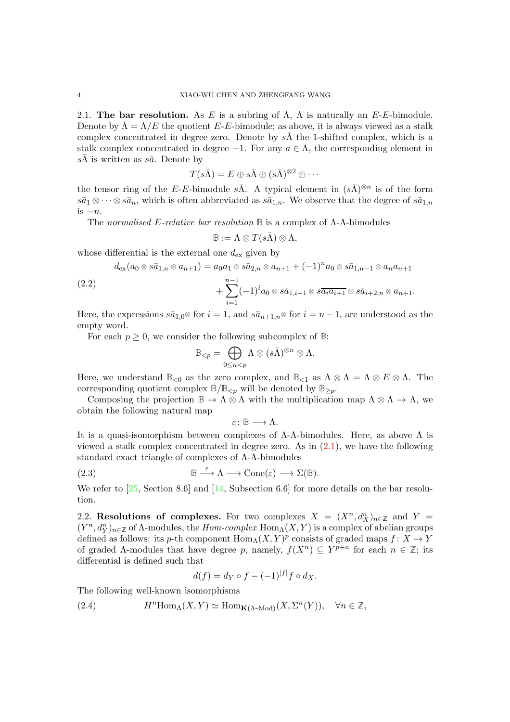<span id="page-3-5"></span><span id="page-3-3"></span>2.1. The bar resolution. As E is a subring of  $\Lambda$ ,  $\Lambda$  is naturally an E-E-bimodule. Denote by  $\overline{\Lambda} = \Lambda/E$  the quotient E-E-bimodule; as above, it is always viewed as a stalk complex concentrated in degree zero. Denote by  $s\overline{\Lambda}$  the 1-shifted complex, which is a stalk complex concentrated in degree  $-1$ . For any  $a \in \Lambda$ , the corresponding element in  $s\bar{\Lambda}$  is written as  $s\bar{a}$ . Denote by

$$
T(s\bar\Lambda)=E\oplus s\bar\Lambda\oplus (s\bar\Lambda)^{\otimes 2}\oplus\cdots
$$

the tensor ring of the E-E-bimodule  $s\overline{\Lambda}$ . A typical element in  $(s\overline{\Lambda})^{\otimes n}$  is of the form  $s\bar{a}_1\otimes\cdots\otimes s\bar{a}_n$ , which is often abbreviated as  $s\bar{a}_{1,n}$ . We observe that the degree of  $s\bar{a}_{1,n}$ is  $-n$ .

The normalised E-relative bar resolution **B** is a complex of Λ-Λ-bimodules

$$
\mathbb{B} := \Lambda \otimes T(s\bar{\Lambda}) \otimes \Lambda,
$$

whose differential is the external one  $d_{\text{ex}}$  given by

$$
d_{\text{ex}}(a_0 \otimes s\bar{a}_{1,n} \otimes a_{n+1}) = a_0 a_1 \otimes s\bar{a}_{2,n} \otimes a_{n+1} + (-1)^n a_0 \otimes s\bar{a}_{1,n-1} \otimes a_n a_{n+1}
$$
  
(2.2)

<span id="page-3-4"></span>2.2) 
$$
+\sum_{i=1}^{n-1} (-1)^{i} a_0 \otimes s\bar{a}_{1,i-1} \otimes s\bar{a}_{i} a_{i+1} \otimes s\bar{a}_{i+2,n} \otimes a_{n+1}.
$$

Here, the expressions  $s\bar{a}_{1,0}$ ⊗ for  $i=1$ , and  $s\bar{a}_{n+1,n}$ ⊗ for  $i=n-1$ , are understood as the empty word.

For each  $p \geq 0$ , we consider the following subcomplex of  $\mathbb{B}$ :

$$
\mathbb{B}_{
$$

Here, we understand  $\mathbb{B}_{<0}$  as the zero complex, and  $\mathbb{B}_{<1}$  as  $\Lambda \otimes \Lambda = \Lambda \otimes E \otimes \Lambda$ . The corresponding quotient complex  $\mathbb{B}/\mathbb{B}_{\leq p}$  will be denoted by  $\mathbb{B}_{\geq p}$ .

Composing the projection  $\mathbb{B} \to \Lambda \otimes \Lambda$  with the multiplication map  $\Lambda \otimes \Lambda \to \Lambda$ , we obtain the following natural map

 $\varepsilon: \mathbb{B} \longrightarrow \Lambda.$ 

It is a quasi-isomorphism between complexes of  $\Lambda$ - $\Lambda$ -bimodules. Here, as above  $\Lambda$  is viewed a stalk complex concentrated in degree zero. As in  $(2.1)$ , we have the following standard exact triangle of complexes of Λ-Λ-bimodules

<span id="page-3-0"></span>(2.3) 
$$
\mathbb{B} \stackrel{\varepsilon}{\longrightarrow} \Lambda \longrightarrow \text{Cone}(\varepsilon) \longrightarrow \Sigma(\mathbb{B}).
$$

We refer to [\[25,](#page-27-8) Section 8.6] and [\[14,](#page-27-3) Subsection 6.6] for more details on the bar resolution.

<span id="page-3-2"></span>2.2. Resolutions of complexes. For two complexes  $X = (X^n, d_X^n)_{n \in \mathbb{Z}}$  and  $Y =$  $(Y^n, d_Y^n)_{n \in \mathbb{Z}}$  of  $\Lambda$ -modules, the *Hom-complex* Hom<sub> $\Lambda$ </sub> $(X, Y)$  is a complex of abelian groups defined as follows: its p-th component  $\text{Hom}_{\Lambda}(X, Y)^p$  consists of graded maps  $f: X \to Y$ of graded  $\Lambda$ -modules that have degree p, namely,  $f(X^n) \subseteq Y^{p+n}$  for each  $n \in \mathbb{Z}$ ; its differential is defined such that

$$
d(f) = d_Y \circ f - (-1)^{|f|} f \circ d_X.
$$

The following well-known isomorphisms

<span id="page-3-1"></span>(2.4) 
$$
H^{n} \text{Hom}_{\Lambda}(X, Y) \simeq \text{Hom}_{\mathbf{K}(\Lambda \text{-Mod})}(X, \Sigma^{n}(Y)), \quad \forall n \in \mathbb{Z},
$$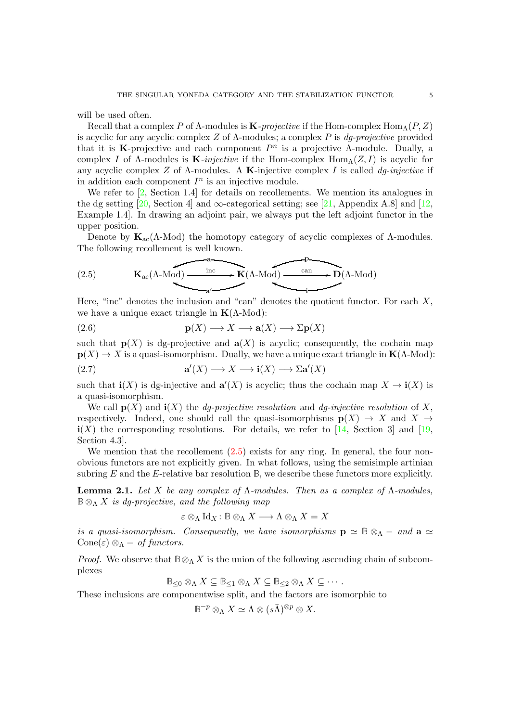<span id="page-4-4"></span>will be used often.

Recall that a complex P of  $\Lambda$ -modules is **K**-projective if the Hom-complex Hom<sub> $\Lambda$ </sub> $(P, Z)$ is acyclic for any acyclic complex Z of  $\Lambda$ -modules; a complex P is dq-projective provided that it is K-projective and each component  $P^n$  is a projective A-module. Dually, a complex I of  $\Lambda$ -modules is **K**-injective if the Hom-complex  $\text{Hom}_{\Lambda}(Z, I)$  is acyclic for any acyclic complex Z of  $\Lambda$ -modules. A **K**-injective complex I is called dq-injective if in addition each component  $I<sup>n</sup>$  is an injective module.

We refer to [\[2,](#page-26-1) Section 1.4] for details on recollements. We mention its analogues in the dg setting [\[20,](#page-27-4) Section 4] and  $\infty$ -categorical setting; see [\[21,](#page-27-5) Appendix A.8] and [\[12,](#page-27-6) Example 1.4]. In drawing an adjoint pair, we always put the left adjoint functor in the upper position.

Denote by  $\mathbf{K}_{ac}(\Lambda\text{-Mod})$  the homotopy category of acyclic complexes of  $\Lambda$ -modules. The following recollement is well known.

<span id="page-4-0"></span>(2.5) 
$$
\mathbf{K}_{ac}(\Lambda \text{-Mod}) \xrightarrow{\text{inc}} \mathbf{K}(\Lambda \text{-Mod}) \xrightarrow{\text{can}} \mathbf{D}(\Lambda \text{-Mod})
$$

Here, "inc" denotes the inclusion and "can" denotes the quotient functor. For each  $X$ , we have a unique exact triangle in  $K(\Lambda\text{-Mod})$ :

<span id="page-4-1"></span>(2.6) 
$$
\mathbf{p}(X) \longrightarrow X \longrightarrow \mathbf{a}(X) \longrightarrow \Sigma \mathbf{p}(X)
$$

such that  $p(X)$  is dg-projective and  $a(X)$  is acyclic; consequently, the cochain map  $p(X) \to X$  is a quasi-isomorphism. Dually, we have a unique exact triangle in  $K(\Lambda\text{-Mod})$ :

<span id="page-4-3"></span>(2.7) 
$$
\mathbf{a}'(X) \longrightarrow X \longrightarrow \mathbf{i}(X) \longrightarrow \Sigma \mathbf{a}'(X)
$$

such that  $\mathbf{i}(X)$  is dg-injective and  $\mathbf{a}'(X)$  is acyclic; thus the cochain map  $X \to \mathbf{i}(X)$  is a quasi-isomorphism.

We call  $p(X)$  and  $\mathbf{i}(X)$  the *dg-projective resolution* and *dg-injective resolution* of X, respectively. Indeed, one should call the quasi-isomorphisms  $p(X) \to X$  and  $X \to Y$  $i(X)$  the corresponding resolutions. For details, we refer to [\[14,](#page-27-3) Section 3] and [\[19,](#page-27-9) Section 4.3].

We mention that the recollement  $(2.5)$  exists for any ring. In general, the four nonobvious functors are not explicitly given. In what follows, using the semisimple artinian subring  $E$  and the  $E$ -relative bar resolution  $\mathbb{B}$ , we describe these functors more explicitly.

<span id="page-4-2"></span>**Lemma 2.1.** Let X be any complex of  $\Lambda$ -modules. Then as a complex of  $\Lambda$ -modules,  $\mathbb{B} \otimes_{\Lambda} X$  is dq-projective, and the following map

$$
\varepsilon \otimes_{\Lambda} \operatorname{Id}_{X} : \mathbb{B} \otimes_{\Lambda} X \longrightarrow \Lambda \otimes_{\Lambda} X = X
$$

is a quasi-isomorphism. Consequently, we have isomorphisms  $\mathbf{p} \simeq \mathbb{B} \otimes_{\Lambda} -$  and  $\mathbf{a} \simeq$ Cone(ε)  $\otimes_{\Lambda}$  – of functors.

*Proof.* We observe that  $\mathbb{B} \otimes_{\Lambda} X$  is the union of the following ascending chain of subcomplexes

$$
\mathbb{B}_{\leq 0}\otimes_{\Lambda} X\subseteq \mathbb{B}_{\leq 1}\otimes_{\Lambda} X\subseteq \mathbb{B}_{\leq 2}\otimes_{\Lambda} X\subseteq \cdots.
$$

These inclusions are componentwise split, and the factors are isomorphic to

$$
\mathbb{B}^{-p}\otimes_{\Lambda}X\simeq \Lambda\otimes (s\bar\Lambda)^{\otimes p}\otimes X.
$$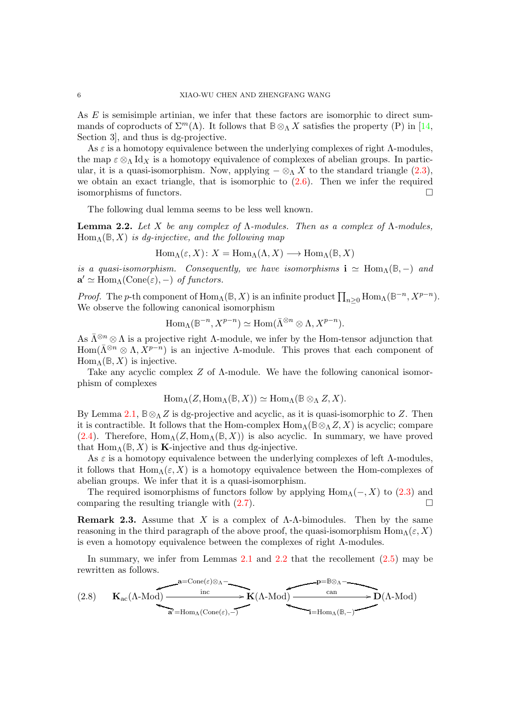<span id="page-5-3"></span>As E is semisimple artinian, we infer that these factors are isomorphic to direct summands of coproducts of  $\Sigma^m(\Lambda)$ . It follows that  $\mathbb{B}\otimes_{\Lambda} X$  satisfies the property (P) in [\[14,](#page-27-3) Section 3], and thus is dg-projective.

As  $\varepsilon$  is a homotopy equivalence between the underlying complexes of right  $\Lambda$ -modules, the map  $\varepsilon \otimes_{\Lambda} Id_X$  is a homotopy equivalence of complexes of abelian groups. In particular, it is a quasi-isomorphism. Now, applying  $-\otimes_{\Lambda} X$  to the standard triangle [\(2.3\)](#page-3-0), we obtain an exact triangle, that is isomorphic to [\(2.6\)](#page-4-1). Then we infer the required isomorphisms of functors.

The following dual lemma seems to be less well known.

<span id="page-5-0"></span>**Lemma 2.2.** Let X be any complex of  $\Lambda$ -modules. Then as a complex of  $\Lambda$ -modules,  $\text{Hom}_{\Lambda}(\mathbb{B}, X)$  is dq-injective, and the following map

$$
\operatorname{Hom}_{\Lambda}(\varepsilon, X) \colon X = \operatorname{Hom}_{\Lambda}(\Lambda, X) \longrightarrow \operatorname{Hom}_{\Lambda}(\mathbb{B}, X)
$$

is a quasi-isomorphism. Consequently, we have isomorphisms  $\mathbf{i} \simeq \text{Hom}_{\Lambda}(\mathbb{B}, -)$  and  $\mathbf{a}' \simeq \text{Hom}_{\Lambda}(\text{Cone}(\varepsilon), -) \text{ of functors.}$ 

Proof. The p-th component of  $\text{Hom}_{\Lambda}(\mathbb{B}, X)$  is an infinite product  $\prod_{n\geq 0} \text{Hom}_{\Lambda}(\mathbb{B}^{-n}, X^{p-n})$ . We observe the following canonical isomorphism

$$
\mathrm{Hom}_{\Lambda}(\mathbb{B}^{-n},X^{p-n})\simeq \mathrm{Hom}(\bar{\Lambda}^{\otimes n}\otimes \Lambda,X^{p-n}).
$$

As  $\bar{\Lambda}^{\otimes n} \otimes \Lambda$  is a projective right  $\Lambda$ -module, we infer by the Hom-tensor adjunction that Hom $(\bar{\Lambda}^{\otimes n} \otimes \Lambda, X^{p-n})$  is an injective  $\Lambda$ -module. This proves that each component of  $\text{Hom}_{\Lambda}(\mathbb{B}, X)$  is injective.

Take any acyclic complex  $Z$  of  $\Lambda$ -module. We have the following canonical isomorphism of complexes

$$
\operatorname{Hom}_{\Lambda}(Z, \operatorname{Hom}_{\Lambda}(\mathbb{B}, X)) \simeq \operatorname{Hom}_{\Lambda}(\mathbb{B} \otimes_{\Lambda} Z, X).
$$

By Lemma [2.1,](#page-4-2)  $\mathbb{B} \otimes_{\Lambda} Z$  is dg-projective and acyclic, as it is quasi-isomorphic to Z. Then it is contractible. It follows that the Hom-complex  $\text{Hom}_{\Lambda}(\mathbb{B}\otimes_{\Lambda}Z,X)$  is acyclic; compare [\(2.4\)](#page-3-1). Therefore,  $\text{Hom}_{\Lambda}(Z, \text{Hom}_{\Lambda}(\mathbb{B}, X))$  is also acyclic. In summary, we have proved that  $\text{Hom}_{\Lambda}(\mathbb{B}, X)$  is **K**-injective and thus dg-injective.

As  $\varepsilon$  is a homotopy equivalence between the underlying complexes of left  $\Lambda$ -modules, it follows that  $\text{Hom}_{\Lambda}(\varepsilon, X)$  is a homotopy equivalence between the Hom-complexes of abelian groups. We infer that it is a quasi-isomorphism.

The required isomorphisms of functors follow by applying  $\text{Hom}_{\Lambda}(-, X)$  to  $(2.3)$  and comparing the resulting triangle with  $(2.7)$ .

<span id="page-5-2"></span>**Remark 2.3.** Assume that X is a complex of  $\Lambda$ - $\Lambda$ -bimodules. Then by the same reasoning in the third paragraph of the above proof, the quasi-isomorphism  $\text{Hom}_{\Lambda}(\varepsilon, X)$ is even a homotopy equivalence between the complexes of right Λ-modules.

In summary, we infer from Lemmas  $2.1$  and  $2.2$  that the recollement  $(2.5)$  may be rewritten as follows.

<span id="page-5-1"></span>
$$
(2.8) \qquad {\bf K}_{\rm ac}(\Lambda{\text -}{\rm Mod}) {\overbrace {\hspace{8.5cm}}^{\rm a=Cone(\varepsilon)\otimes_\Lambda-}\hspace{2.05cm}{{\bf K}(\Lambda{\text -}{\rm Mod})}\overbrace {\hspace{8.5cm}}^{\rm p=B\otimes_\Lambda-}\hspace{2.0cm}{\bf K}(\Lambda{\text -}{\rm Mod}) {\overbrace {\hspace{8.5cm}\text{can}}^{\rm can}}^{\hspace{8.5cm}-\hspace{8.5cm}{\bf P}={\rm Mod}_\Lambda-}\hspace{2.0cm}{\bf D}(\Lambda{\text -}{\rm Mod})
$$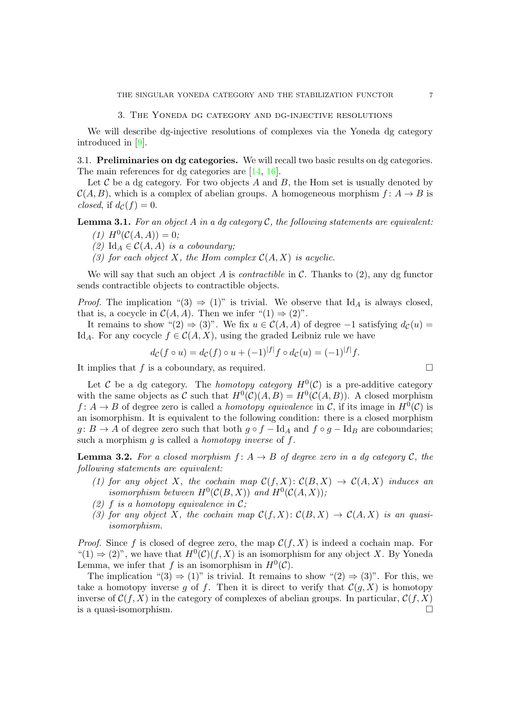3. The Yoneda dg category and dg-injective resolutions

<span id="page-6-2"></span>We will describe dg-injective resolutions of complexes via the Yoneda dg category introduced in [\[9\]](#page-27-7).

3.1. Preliminaries on dg categories. We will recall two basic results on dg categories. The main references for dg categories are [\[14,](#page-27-3) [16\]](#page-27-10).

Let  $C$  be a dg category. For two objects  $A$  and  $B$ , the Hom set is usually denoted by  $\mathcal{C}(A, B)$ , which is a complex of abelian groups. A homogeneous morphism  $f: A \rightarrow B$  is closed, if  $d_{\mathcal{C}}(f) = 0$ .

<span id="page-6-0"></span>**Lemma 3.1.** For an object A in a dg category  $C$ , the following statements are equivalent:

- (1)  $H^0(C(A, A)) = 0;$
- (2) Id<sub>A</sub>  $\in \mathcal{C}(A, A)$  is a coboundary;
- (3) for each object X, the Hom complex  $C(A, X)$  is acyclic.

We will say that such an object A is *contractible* in  $\mathcal{C}$ . Thanks to (2), any dg functor sends contractible objects to contractible objects.

*Proof.* The implication "(3)  $\Rightarrow$  (1)" is trivial. We observe that Id<sub>A</sub> is always closed, that is, a cocycle in  $C(A, A)$ . Then we infer "(1)  $\Rightarrow$  (2)".

It remains to show "(2)  $\Rightarrow$  (3)". We fix  $u \in C(A, A)$  of degree -1 satisfying  $d_C(u)$  = Id<sub>A</sub>. For any cocycle  $f \in \mathcal{C}(A, X)$ , using the graded Leibniz rule we have

$$
d_{\mathcal{C}}(f \circ u) = d_{\mathcal{C}}(f) \circ u + (-1)^{|f|} f \circ d_{\mathcal{C}}(u) = (-1)^{|f|} f.
$$

It implies that f is a coboundary, as required.  $\square$ 

Let C be a dg category. The *homotopy category*  $H^0(\mathcal{C})$  is a pre-additive category with the same objects as C such that  $H^0(\mathcal{C})(A, B) = H^0(\mathcal{C}(A, B))$ . A closed morphism  $f: A \to B$  of degree zero is called a *homotopy equivalence* in C, if its image in  $H^0(\mathcal{C})$  is an isomorphism. It is equivalent to the following condition: there is a closed morphism  $g: B \to A$  of degree zero such that both  $g \circ f - \text{Id}_A$  and  $f \circ g - \text{Id}_B$  are coboundaries; such a morphism q is called a *homotopy inverse* of  $f$ .

<span id="page-6-1"></span>**Lemma 3.2.** For a closed morphism  $f: A \rightarrow B$  of degree zero in a dg category C, the following statements are equivalent:

- (1) for any object X, the cochain map  $\mathcal{C}(f, X): \mathcal{C}(B, X) \to \mathcal{C}(A, X)$  induces an isomorphism between  $H^0(\mathcal{C}(B,X))$  and  $H^0(\mathcal{C}(A,X));$
- (2) f is a homotopy equivalence in  $\mathcal{C}$ ;
- (3) for any object X, the cochain map  $\mathcal{C}(f, X): \mathcal{C}(B, X) \to \mathcal{C}(A, X)$  is an quasiisomorphism.

*Proof.* Since f is closed of degree zero, the map  $\mathcal{C}(f, X)$  is indeed a cochain map. For " $(1) \Rightarrow (2)$ ", we have that  $H^0(\mathcal{C})(f,X)$  is an isomorphism for any object X. By Yoneda Lemma, we infer that f is an isomorphism in  $H^0(\mathcal{C})$ .

The implication "(3)  $\Rightarrow$  (1)" is trivial. It remains to show "(2)  $\Rightarrow$  (3)". For this, we take a homotopy inverse q of f. Then it is direct to verify that  $\mathcal{C}(q, X)$  is homotopy inverse of  $\mathcal{C}(f, X)$  in the category of complexes of abelian groups. In particular,  $\mathcal{C}(f, X)$ is a quasi-isomorphism.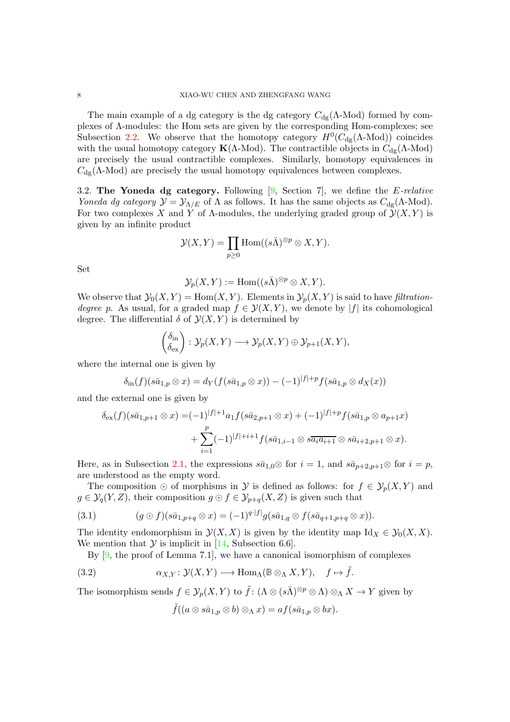<span id="page-7-2"></span>The main example of a dg category is the dg category  $C_{\text{dg}}(\Lambda\text{-Mod})$  formed by complexes of Λ-modules: the Hom sets are given by the corresponding Hom-complexes; see Subsection [2.2.](#page-3-2) We observe that the homotopy category  $H^0(C_{dg}(\Lambda\text{-Mod}))$  coincides with the usual homotopy category  $\mathbf{K}(\Lambda\text{-Mod})$ . The contractible objects in  $C_{dg}(\Lambda\text{-Mod})$ are precisely the usual contractible complexes. Similarly, homotopy equivalences in  $C_{\text{dg}}(\Lambda\text{-Mod})$  are precisely the usual homotopy equivalences between complexes.

3.2. The Yoneda dg category. Following  $[9, \text{ Section 7}],$  we define the *E-relative* Yoneda dg category  $\mathcal{Y} = \mathcal{Y}_{\Lambda/E}$  of  $\Lambda$  as follows. It has the same objects as  $C_{dg}(\Lambda\text{-Mod})$ . For two complexes X and Y of  $\Lambda$ -modules, the underlying graded group of  $\mathcal{Y}(X, Y)$  is given by an infinite product

$$
\mathcal{Y}(X,Y) = \prod_{p \ge 0} \text{Hom}((s\bar{\Lambda})^{\otimes p} \otimes X, Y).
$$

Set

$$
\mathcal{Y}_p(X,Y) := \text{Hom}((s\overline{\Lambda})^{\otimes p} \otimes X,Y).
$$

We observe that  $\mathcal{Y}_0(X, Y) = \text{Hom}(X, Y)$ . Elements in  $\mathcal{Y}_p(X, Y)$  is said to have *filtration*degree p. As usual, for a graded map  $f \in \mathcal{Y}(X, Y)$ , we denote by |f| its cohomological degree. The differential  $\delta$  of  $\mathcal{Y}(X, Y)$  is determined by

$$
\begin{pmatrix} \delta_{\text{in}} \\ \delta_{\text{ex}} \end{pmatrix} : \mathcal{Y}_p(X, Y) \longrightarrow \mathcal{Y}_p(X, Y) \oplus \mathcal{Y}_{p+1}(X, Y),
$$

where the internal one is given by

$$
\delta_{\text{in}}(f)(s\bar{a}_{1,p}\otimes x) = d_Y(f(s\bar{a}_{1,p}\otimes x)) - (-1)^{|f|+p}f(s\bar{a}_{1,p}\otimes d_X(x))
$$

and the external one is given by

$$
\delta_{\text{ex}}(f)(s\bar{a}_{1,p+1}\otimes x) = (-1)^{|f|+1}a_1 f(s\bar{a}_{2,p+1}\otimes x) + (-1)^{|f|+p}f(s\bar{a}_{1,p}\otimes a_{p+1}x) + \sum_{i=1}^p (-1)^{|f|+i+1} f(s\bar{a}_{1,i-1}\otimes s\bar{a}_i a_{i+1}\otimes s\bar{a}_{i+2,p+1}\otimes x).
$$

Here, as in Subsection [2.1,](#page-3-3) the expressions  $s\bar{a}_{1,0}\otimes$  for  $i=1$ , and  $s\bar{a}_{p+2,p+1}\otimes$  for  $i=p$ , are understood as the empty word.

The composition  $\odot$  of morphisms in Y is defined as follows: for  $f \in \mathcal{Y}_p(X, Y)$  and  $g \in \mathcal{Y}_q(Y, Z)$ , their composition  $g \odot f \in \mathcal{Y}_{p+q}(X, Z)$  is given such that

<span id="page-7-1"></span>(3.1) 
$$
(g \odot f)(s\bar{a}_{1,p+q} \otimes x) = (-1)^{q \cdot |f|} g(s\bar{a}_{1,q} \otimes f(s\bar{a}_{q+1,p+q} \otimes x)).
$$

The identity endomorphism in  $\mathcal{Y}(X, X)$  is given by the identity map  $\mathrm{Id}_X \in \mathcal{Y}_0(X, X)$ . We mention that  $\mathcal Y$  is implicit in [\[14,](#page-27-3) Subsection 6.6].

By  $[9,$  the proof of Lemma 7.1, we have a canonical isomorphism of complexes

<span id="page-7-0"></span>(3.2) 
$$
\alpha_{X,Y}: \mathcal{Y}(X,Y) \longrightarrow \text{Hom}_{\Lambda}(\mathbb{B} \otimes_{\Lambda} X, Y), \quad f \mapsto \tilde{f}.
$$

The isomorphism sends  $f \in \mathcal{Y}_p(X, Y)$  to  $\tilde{f} : (\Lambda \otimes (s\overline{\Lambda})^{\otimes p} \otimes \Lambda) \otimes_{\Lambda} X \to Y$  given by

$$
\tilde{f}((a\otimes s\bar{a}_{1,p}\otimes b)\otimes_{\Lambda}x)=af(s\bar{a}_{1,p}\otimes bx).
$$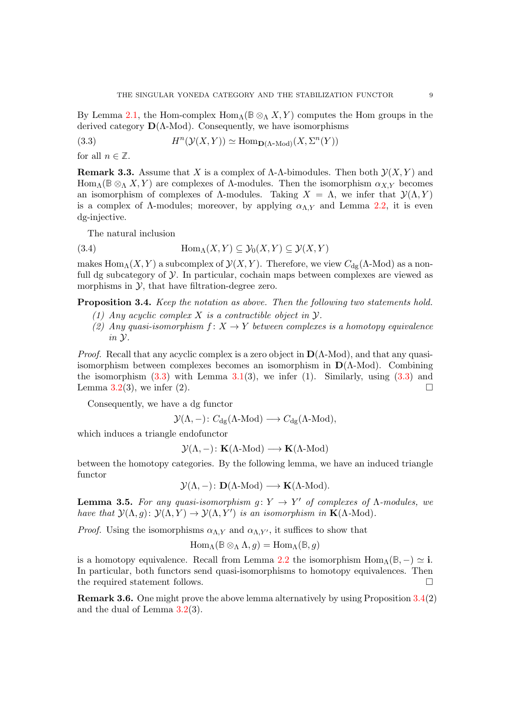By Lemma [2.1,](#page-4-2) the Hom-complex  $\text{Hom}_{\Lambda}(\mathbb{B} \otimes_{\Lambda} X, Y)$  computes the Hom groups in the derived category  $\mathbf{D}(\Lambda\text{-Mod})$ . Consequently, we have isomorphisms

<span id="page-8-0"></span>(3.3) 
$$
H^{n}(\mathcal{Y}(X,Y)) \simeq \text{Hom}_{\mathbf{D}(\Lambda\text{-Mod})}(X,\Sigma^{n}(Y))
$$

for all  $n \in \mathbb{Z}$ .

<span id="page-8-2"></span>**Remark 3.3.** Assume that X is a complex of  $\Lambda$ - $\Lambda$ -bimodules. Then both  $\mathcal{Y}(X, Y)$  and Hom<sub>Λ</sub>( $\mathbb{B} \otimes_{\Lambda} X, Y$ ) are complexes of Λ-modules. Then the isomorphism  $\alpha_{X,Y}$  becomes an isomorphism of complexes of  $\Lambda$ -modules. Taking  $X = \Lambda$ , we infer that  $\mathcal{Y}(\Lambda, Y)$ is a complex of  $\Lambda$ -modules; moreover, by applying  $\alpha_{\Lambda,Y}$  and Lemma [2.2,](#page-5-0) it is even dg-injective.

The natural inclusion

<span id="page-8-3"></span>(3.4) 
$$
\text{Hom}_{\Lambda}(X, Y) \subseteq \mathcal{Y}_0(X, Y) \subseteq \mathcal{Y}(X, Y)
$$

makes Hom<sub>Λ</sub>(X, Y) a subcomplex of  $\mathcal{Y}(X, Y)$ . Therefore, we view  $C_{dg}(\Lambda$ -Mod) as a nonfull dg subcategory of  $\mathcal Y$ . In particular, cochain maps between complexes are viewed as morphisms in  $\mathcal{Y}$ , that have filtration-degree zero.

<span id="page-8-1"></span>Proposition 3.4. Keep the notation as above. Then the following two statements hold.

- (1) Any acyclic complex X is a contractible object in  $\mathcal{V}$ .
- (2) Any quasi-isomorphism  $f: X \to Y$  between complexes is a homotopy equivalence in Y.

*Proof.* Recall that any acyclic complex is a zero object in  $D(\Lambda\text{-Mod})$ , and that any quasiisomorphism between complexes becomes an isomorphism in  $D(\Lambda\text{-Mod})$ . Combining the isomorphism  $(3.3)$  with Lemma  $3.1(3)$  $3.1(3)$ , we infer  $(1)$ . Similarly, using  $(3.3)$  and Lemma [3.2\(](#page-6-1)3), we infer (2).

Consequently, we have a dg functor

$$
\mathcal{Y}(\Lambda, -)
$$
:  $C_{dg}(\Lambda\text{-Mod}) \longrightarrow C_{dg}(\Lambda\text{-Mod}),$ 

which induces a triangle endofunctor

$$
\mathcal{Y}(\Lambda, -): \mathbf{K}(\Lambda\text{-Mod}) \longrightarrow \mathbf{K}(\Lambda\text{-Mod})
$$

between the homotopy categories. By the following lemma, we have an induced triangle functor

$$
\mathcal{Y}(\Lambda, -)
$$
:  $\mathbf{D}(\Lambda\text{-Mod}) \longrightarrow \mathbf{K}(\Lambda\text{-Mod}).$ 

<span id="page-8-4"></span>**Lemma 3.5.** For any quasi-isomorphism  $g: Y \to Y'$  of complexes of  $\Lambda$ -modules, we have that  $\mathcal{Y}(\Lambda, g) \colon \mathcal{Y}(\Lambda, Y) \to \mathcal{Y}(\Lambda, Y')$  is an isomorphism in  $\mathbf{K}(\Lambda\text{-Mod})$ .

*Proof.* Using the isomorphisms  $\alpha_{\Lambda,Y}$  and  $\alpha_{\Lambda,Y'}$ , it suffices to show that

$$
\operatorname{Hom}\nolimits_{\Lambda}(\mathbb{B} \otimes_{\Lambda} \Lambda, g) = \operatorname{Hom}\nolimits_{\Lambda}(\mathbb{B}, g)
$$

is a homotopy equivalence. Recall from Lemma [2.2](#page-5-0) the isomorphism  $\text{Hom}_{\Lambda}(\mathbb{B}, -) \simeq \mathbf{i}$ . In particular, both functors send quasi-isomorphisms to homotopy equivalences. Then the required statement follows.

Remark 3.6. One might prove the above lemma alternatively by using Proposition [3.4\(](#page-8-1)2) and the dual of Lemma [3.2\(](#page-6-1)3).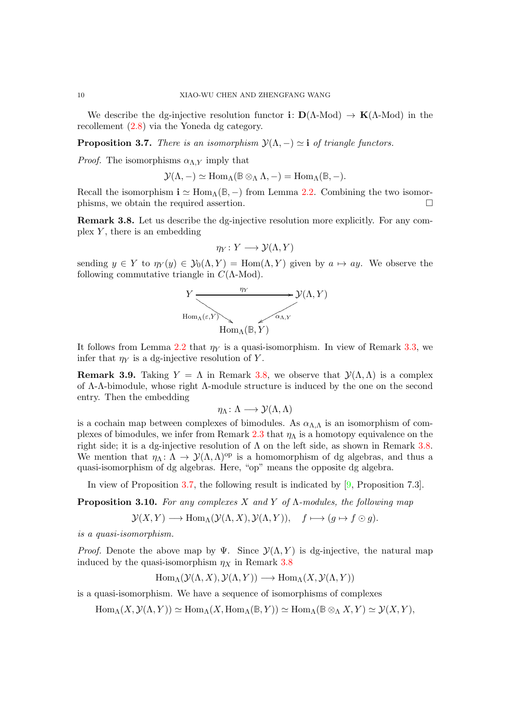<span id="page-9-4"></span>We describe the dg-injective resolution functor  $\mathbf{i}: \mathbf{D}(\Lambda\text{-Mod}) \to \mathbf{K}(\Lambda\text{-Mod})$  in the recollement [\(2.8\)](#page-5-1) via the Yoneda dg category.

<span id="page-9-0"></span>**Proposition 3.7.** There is an isomorphism  $\mathcal{Y}(\Lambda, -) \simeq \mathbf{i}$  of triangle functors.

*Proof.* The isomorphisms  $\alpha_{\Lambda,Y}$  imply that

$$
\mathcal{Y}(\Lambda,-)\simeq \mathrm{Hom}_{\Lambda}(\mathbb{B}\otimes_{\Lambda}\Lambda,-)=\mathrm{Hom}_{\Lambda}(\mathbb{B},-).
$$

Recall the isomorphism  $i \simeq \text{Hom}_{\Lambda}(\mathbb{B}, -)$  from Lemma [2.2.](#page-5-0) Combining the two isomorphisms, we obtain the required assertion.

<span id="page-9-1"></span>Remark 3.8. Let us describe the dg-injective resolution more explicitly. For any complex  $Y$ , there is an embedding

$$
\eta_Y\colon Y\longrightarrow \mathcal{Y}(\Lambda,Y)
$$

sending  $y \in Y$  to  $\eta_Y(y) \in \mathcal{Y}_0(\Lambda, Y) = \text{Hom}(\Lambda, Y)$  given by  $a \mapsto ay$ . We observe the following commutative triangle in  $C(\Lambda\text{-Mod})$ .



It follows from Lemma [2.2](#page-5-0) that  $\eta_Y$  is a quasi-isomorphism. In view of Remark [3.3,](#page-8-2) we infer that  $\eta_Y$  is a dg-injective resolution of Y.

<span id="page-9-2"></span>**Remark 3.9.** Taking  $Y = \Lambda$  in Remark [3.8,](#page-9-1) we observe that  $\mathcal{Y}(\Lambda, \Lambda)$  is a complex of Λ-Λ-bimodule, whose right Λ-module structure is induced by the one on the second entry. Then the embedding

$$
\eta_{\Lambda} \colon \Lambda \longrightarrow \mathcal{Y}(\Lambda, \Lambda)
$$

is a cochain map between complexes of bimodules. As  $\alpha_{\Lambda,\Lambda}$  is an isomorphism of com-plexes of bimodules, we infer from Remark [2.3](#page-5-2) that  $\eta_{\Lambda}$  is a homotopy equivalence on the right side; it is a dg-injective resolution of  $\Lambda$  on the left side, as shown in Remark [3.8.](#page-9-1) We mention that  $\eta_{\Lambda} : \Lambda \to \mathcal{Y}(\Lambda, \Lambda)$ <sup>op</sup> is a homomorphism of dg algebras, and thus a quasi-isomorphism of dg algebras. Here, "op" means the opposite dg algebra.

In view of Proposition [3.7,](#page-9-0) the following result is indicated by [\[9,](#page-27-7) Proposition 7.3].

<span id="page-9-3"></span>**Proposition 3.10.** For any complexes X and Y of  $\Lambda$ -modules, the following map

$$
\mathcal{Y}(X,Y) \longrightarrow \text{Hom}_{\Lambda}(\mathcal{Y}(\Lambda,X), \mathcal{Y}(\Lambda,Y)), \quad f \longmapsto (g \mapsto f \odot g).
$$

is a quasi-isomorphism.

*Proof.* Denote the above map by  $\Psi$ . Since  $\mathcal{Y}(\Lambda, Y)$  is dg-injective, the natural map induced by the quasi-isomorphism  $\eta_X$  in Remark [3.8](#page-9-1)

$$
Hom_{\Lambda}(\mathcal{Y}(\Lambda, X), \mathcal{Y}(\Lambda, Y)) \longrightarrow Hom_{\Lambda}(X, \mathcal{Y}(\Lambda, Y))
$$

is a quasi-isomorphism. We have a sequence of isomorphisms of complexes

 $\text{Hom}_{\Lambda}(X, \mathcal{Y}(\Lambda, Y)) \simeq \text{Hom}_{\Lambda}(X, \text{Hom}_{\Lambda}(\mathbb{B}, Y)) \simeq \text{Hom}_{\Lambda}(\mathbb{B} \otimes_{\Lambda} X, Y) \simeq \mathcal{Y}(X, Y),$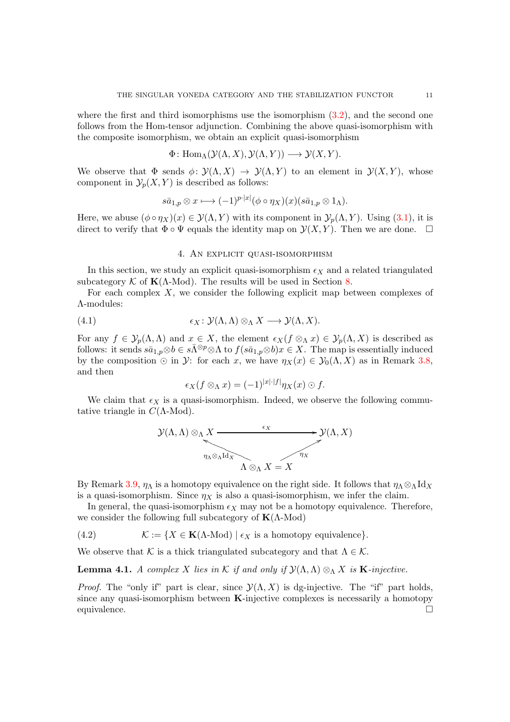where the first and third isomorphisms use the isomorphism  $(3.2)$ , and the second one follows from the Hom-tensor adjunction. Combining the above quasi-isomorphism with the composite isomorphism, we obtain an explicit quasi-isomorphism

$$
\Phi: \text{Hom}_{\Lambda}(\mathcal{Y}(\Lambda, X), \mathcal{Y}(\Lambda, Y)) \longrightarrow \mathcal{Y}(X, Y).
$$

We observe that  $\Phi$  sends  $\phi: \mathcal{Y}(\Lambda, X) \to \mathcal{Y}(\Lambda, Y)$  to an element in  $\mathcal{Y}(X, Y)$ , whose component in  $\mathcal{Y}_p(X, Y)$  is described as follows:

$$
s\bar{a}_{1,p}\otimes x\longmapsto (-1)^{p\cdot|x|}(\phi\circ\eta_X)(x)(s\bar{a}_{1,p}\otimes 1_\Lambda).
$$

<span id="page-10-3"></span>Here, we abuse  $(\phi \circ \eta_X)(x) \in \mathcal{Y}(\Lambda, Y)$  with its component in  $\mathcal{Y}_p(\Lambda, Y)$ . Using [\(3.1\)](#page-7-1), it is direct to verify that  $\Phi \circ \Psi$  equals the identity map on  $\mathcal{Y}(X, Y)$ . Then we are done.  $\Box$ 

## 4. An explicit quasi-isomorphism

In this section, we study an explicit quasi-isomorphism  $\epsilon_X$  and a related triangulated subcategory  $\mathcal K$  of  $\mathbf K(\Lambda\text{-Mod})$ . The results will be used in Section [8.](#page-23-0)

For each complex  $X$ , we consider the following explicit map between complexes of Λ-modules:

<span id="page-10-0"></span>(4.1) 
$$
\epsilon_X \colon \mathcal{Y}(\Lambda, \Lambda) \otimes_{\Lambda} X \longrightarrow \mathcal{Y}(\Lambda, X).
$$

For any  $f \in \mathcal{Y}_p(\Lambda,\Lambda)$  and  $x \in X$ , the element  $\epsilon_X(f \otimes_\Lambda x) \in \mathcal{Y}_p(\Lambda,X)$  is described as follows: it sends  $s\bar{a}_{1,p}\otimes b \in s\bar{\Lambda}^{\otimes p}\otimes \Lambda$  to  $f(s\bar{a}_{1,p}\otimes b)x \in X$ . The map is essentially induced by the composition  $\odot$  in  $\mathcal{Y}$ : for each x, we have  $\eta_X(x) \in \mathcal{Y}_0(\Lambda, X)$  as in Remark [3.8,](#page-9-1) and then

$$
\epsilon_X(f \otimes_\Lambda x) = (-1)^{|x| \cdot |f|} \eta_X(x) \odot f.
$$

We claim that  $\epsilon_X$  is a quasi-isomorphism. Indeed, we observe the following commutative triangle in  $C(\Lambda\text{-Mod})$ .



By Remark [3.9,](#page-9-2)  $\eta_{\Lambda}$  is a homotopy equivalence on the right side. It follows that  $\eta_{\Lambda} \otimes_{\Lambda} \mathrm{Id}_X$ is a quasi-isomorphism. Since  $\eta_X$  is also a quasi-isomorphism, we infer the claim.

In general, the quasi-isomorphism  $\epsilon_X$  may not be a homotopy equivalence. Therefore, we consider the following full subcategory of  $K(\Lambda\text{-Mod})$ 

<span id="page-10-2"></span>(4.2)  $\mathcal{K} := \{ X \in \mathbf{K}(\Lambda \text{-Mod}) \mid \epsilon_X \text{ is a homotopy equivalence} \}.$ 

We observe that K is a thick triangulated subcategory and that  $\Lambda \in \mathcal{K}$ .

<span id="page-10-1"></span>**Lemma 4.1.** A complex X lies in K if and only if  $\mathcal{Y}(\Lambda,\Lambda) \otimes_{\Lambda} X$  is **K**-injective.

*Proof.* The "only if" part is clear, since  $\mathcal{Y}(\Lambda, X)$  is dg-injective. The "if" part holds, since any quasi-isomorphism between K-injective complexes is necessarily a homotopy equivalence.  $\Box$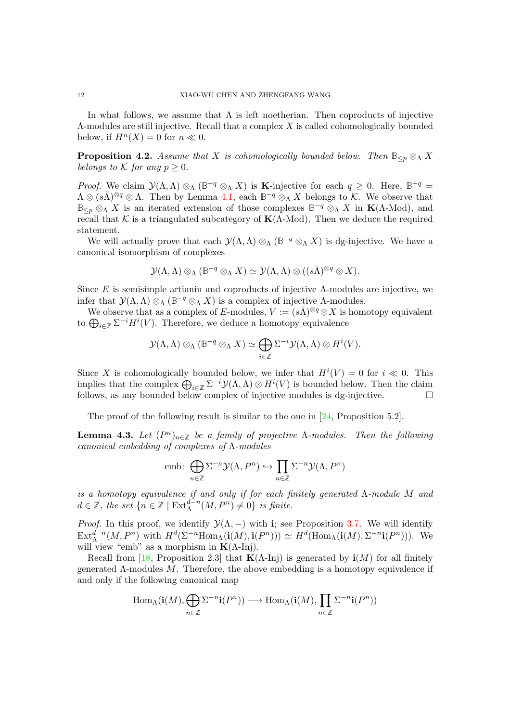<span id="page-11-2"></span>In what follows, we assume that  $\Lambda$  is left noetherian. Then coproducts of injective Λ-modules are still injective. Recall that a complex X is called cohomologically bounded below, if  $H^n(X) = 0$  for  $n \ll 0$ .

<span id="page-11-1"></span>**Proposition 4.2.** Assume that X is cohomologically bounded below. Then  $\mathbb{B}_{\leq p} \otimes_{\Lambda} X$ belongs to K for any  $p \geq 0$ .

*Proof.* We claim  $\mathcal{Y}(\Lambda,\Lambda) \otimes_{\Lambda} (\mathbb{B}^{-q} \otimes_{\Lambda} X)$  is **K**-injective for each  $q \geq 0$ . Here,  $\mathbb{B}^{-q} =$  $\Lambda \otimes (s\overline{\Lambda})^{\otimes q} \otimes \Lambda$ . Then by Lemma [4.1,](#page-10-1) each  $\mathbb{B}^{-q} \otimes_{\Lambda} X$  belongs to K. We observe that  $\mathbb{B}_{\leq p} \otimes_{\Lambda} X$  is an iterated extension of those complexes  $\mathbb{B}^{-q} \otimes_{\Lambda} X$  in  $\mathbf{K}(\Lambda\text{-Mod})$ , and recall that K is a triangulated subcategory of  $K(\Lambda\text{-Mod})$ . Then we deduce the required statement.

We will actually prove that each  $\mathcal{Y}(\Lambda,\Lambda) \otimes_{\Lambda} (\mathbb{B}^{-q} \otimes_{\Lambda} X)$  is dg-injective. We have a canonical isomorphism of complexes

$$
\mathcal{Y}(\Lambda, \Lambda) \otimes_{\Lambda} (\mathbb{B}^{-q} \otimes_{\Lambda} X) \simeq \mathcal{Y}(\Lambda, \Lambda) \otimes ((s\overline{\Lambda})^{\otimes q} \otimes X).
$$

Since E is semisimple artianin and coproducts of injective  $\Lambda$ -modules are injective, we infer that  $\mathcal{Y}(\Lambda,\Lambda) \otimes_{\Lambda} (\mathbb{B}^{-q} \otimes_{\Lambda} X)$  is a complex of injective  $\Lambda$ -modules.

We observe that as a complex of E-modules,  $V := (s\overline{\Lambda})^{\otimes q} \otimes X$  is homotopy equivalent to  $\bigoplus_{i\in\mathbb{Z}}\Sigma^{-i}H^i(V)$ . Therefore, we deduce a homotopy equivalence

$$
\mathcal{Y}(\Lambda, \Lambda) \otimes_{\Lambda} (\mathbb{B}^{-q} \otimes_{\Lambda} X) \simeq \bigoplus_{i \in \mathbb{Z}} \Sigma^{-i} \mathcal{Y}(\Lambda, \Lambda) \otimes H^{i}(V).
$$

Since X is cohomologically bounded below, we infer that  $H^{i}(V) = 0$  for  $i \ll 0$ . This implies that the complex  $\bigoplus_{i\in\mathbb{Z}}\Sigma^{-i}\mathcal{Y}(\Lambda,\Lambda)\otimes H^i(V)$  is bounded below. Then the claim follows, as any bounded below complex of injective modules is dg-injective.  $\Box$ 

The proof of the following result is similar to the one in [\[24,](#page-27-11) Proposition 5.2].

<span id="page-11-0"></span>**Lemma 4.3.** Let  $(P^n)_{n \in \mathbb{Z}}$  be a family of projective  $\Lambda$ -modules. Then the following canonical embedding of complexes of Λ-modules

$$
emb: \bigoplus_{n \in \mathbb{Z}} \Sigma^{-n} \mathcal{Y}(\Lambda, P^n) \hookrightarrow \prod_{n \in \mathbb{Z}} \Sigma^{-n} \mathcal{Y}(\Lambda, P^n)
$$

is a homotopy equivalence if and only if for each finitely generated Λ-module M and  $d \in \mathbb{Z}$ , the set  $\{n \in \mathbb{Z} \mid \text{Ext}_{\Lambda}^{d-n}(M, P^n) \neq 0\}$  is finite.

*Proof.* In this proof, we identify  $\mathcal{Y}(\Lambda, -)$  with i; see Proposition [3.7.](#page-9-0) We will identify  $\text{Ext}_{\Lambda}^{d-n}(M, P^n)$  with  $H^d(\Sigma^{-n}\text{Hom}_{\Lambda}(\mathbf{i}(M), \mathbf{i}(P^n))) \simeq H^d(\text{Hom}_{\Lambda}(\mathbf{i}(M), \Sigma^{-n}\mathbf{i}(P^n)))$ . We will view "emb" as a morphism in  $K(\Lambda$ -Inj).

Recall from [\[18,](#page-27-1) Proposition 2.3] that  $\mathbf{K}(\Lambda\text{-Inj})$  is generated by  $\mathbf{i}(M)$  for all finitely generated  $\Lambda$ -modules  $M$ . Therefore, the above embedding is a homotopy equivalence if and only if the following canonical map

$$
\operatorname{Hom}\nolimits_\Lambda(\mathbf i(M), \bigoplus_{n \in \mathbb Z} \Sigma^{-n}\mathbf i(P^n)) \longrightarrow \operatorname{Hom}\nolimits_\Lambda(\mathbf i(M), \prod_{n \in \mathbb Z} \Sigma^{-n}\mathbf i(P^n))
$$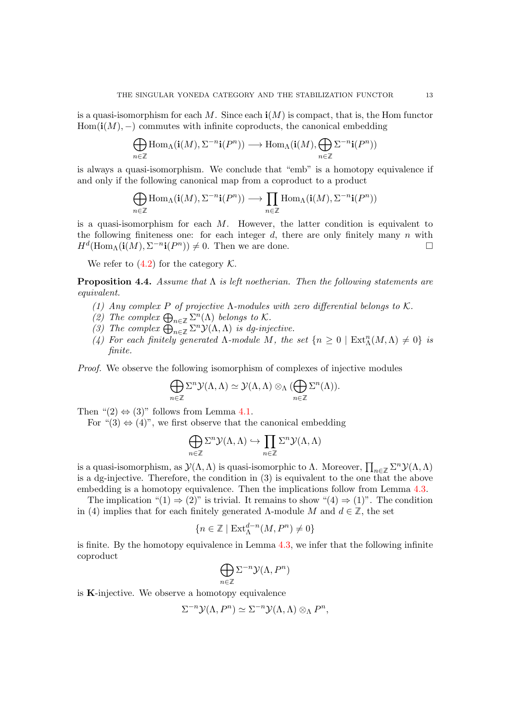is a quasi-isomorphism for each  $M$ . Since each  $\mathbf{i}(M)$  is compact, that is, the Hom functor  $Hom(i(M), -)$  commutes with infinite coproducts, the canonical embedding

$$
\bigoplus_{n\in\mathbb{Z}}\text{Hom}_{\Lambda}(\mathbf{i}(M),\Sigma^{-n}\mathbf{i}(P^n))\longrightarrow\text{Hom}_{\Lambda}(\mathbf{i}(M),\bigoplus_{n\in\mathbb{Z}}\Sigma^{-n}\mathbf{i}(P^n))
$$

is always a quasi-isomorphism. We conclude that "emb" is a homotopy equivalence if and only if the following canonical map from a coproduct to a product

$$
\bigoplus_{n\in\mathbb{Z}}\text{Hom}_{\Lambda}(\mathbf{i}(M),\Sigma^{-n}\mathbf{i}(P^n))\longrightarrow\prod_{n\in\mathbb{Z}}\text{Hom}_{\Lambda}(\mathbf{i}(M),\Sigma^{-n}\mathbf{i}(P^n))
$$

is a quasi-isomorphism for each  $M$ . However, the latter condition is equivalent to the following finiteness one: for each integer  $d$ , there are only finitely many n with  $H^d(\text{Hom}_\Lambda(\mathbf{i}(M), \Sigma^{-n}\mathbf{i}(P^n)) \neq 0$ . Then we are done.

We refer to  $(4.2)$  for the category K.

<span id="page-12-0"></span>**Proposition 4.4.** Assume that  $\Lambda$  is left noetherian. Then the following statements are equivalent.

- (1) Any complex P of projective  $\Lambda$ -modules with zero differential belongs to K.
- (2) The complex  $\bigoplus_{n\in\mathbb{Z}}\Sigma^n(\Lambda)$  belongs to K.
- (3) The complex  $\bigoplus_{n\in\mathbb{Z}}^{\infty} \Sigma^n \mathcal{Y}(\Lambda,\Lambda)$  is dg-injective.
- (4) For each finitely generated  $\Lambda$ -module M, the set  $\{n \geq 0 \mid \text{Ext}^n_{\Lambda}(M,\Lambda) \neq 0\}$  is finite.

Proof. We observe the following isomorphism of complexes of injective modules

$$
\bigoplus_{n\in\mathbb{Z}}\Sigma^n\mathcal{Y}(\Lambda,\Lambda)\simeq\mathcal{Y}(\Lambda,\Lambda)\otimes_{\Lambda}(\bigoplus_{n\in\mathbb{Z}}\Sigma^n(\Lambda)).
$$

Then " $(2) \Leftrightarrow (3)$ " follows from Lemma [4.1.](#page-10-1)

For " $(3) \Leftrightarrow (4)$ ", we first observe that the canonical embedding

$$
\bigoplus_{n\in\mathbb{Z}}\Sigma^n\mathcal{Y}(\Lambda,\Lambda)\hookrightarrow\prod_{n\in\mathbb{Z}}\Sigma^n\mathcal{Y}(\Lambda,\Lambda)
$$

is a quasi-isomorphism, as  $\mathcal{Y}(\Lambda,\Lambda)$  is quasi-isomorphic to  $\Lambda$ . Moreover,  $\prod_{n\in\mathbb{Z}}\Sigma^n\mathcal{Y}(\Lambda,\Lambda)$ is a dg-injective. Therefore, the condition in (3) is equivalent to the one that the above embedding is a homotopy equivalence. Then the implications follow from Lemma [4.3.](#page-11-0)

The implication " $(1) \Rightarrow (2)$ " is trivial. It remains to show " $(4) \Rightarrow (1)$ ". The condition in (4) implies that for each finitely generated  $\Lambda$ -module  $M$  and  $d \in \mathbb{Z}$ , the set

$$
\{n \in \mathbb{Z} \mid \operatorname{Ext}_{\Lambda}^{d-n}(M, P^n) \neq 0\}
$$

is finite. By the homotopy equivalence in Lemma [4.3,](#page-11-0) we infer that the following infinite coproduct

$$
\bigoplus_{n\in\mathbb{Z}}\Sigma^{-n}\mathcal{Y}(\Lambda,P^n)
$$

is K-injective. We observe a homotopy equivalence

$$
\Sigma^{-n} \mathcal{Y}(\Lambda, P^n) \simeq \Sigma^{-n} \mathcal{Y}(\Lambda, \Lambda) \otimes_{\Lambda} P^n,
$$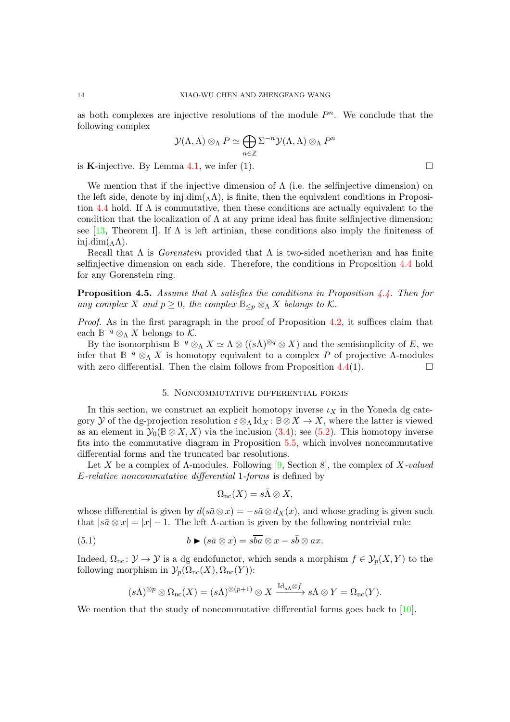as both complexes are injective resolutions of the module  $P<sup>n</sup>$ . We conclude that the following complex

$$
\mathcal{Y}(\Lambda,\Lambda) \otimes_{\Lambda} P \simeq \bigoplus_{n \in \mathbb{Z}} \Sigma^{-n} \mathcal{Y}(\Lambda,\Lambda) \otimes_{\Lambda} P^n
$$

is K-injective. By Lemma [4.1,](#page-10-1) we infer (1).  $\Box$ 

We mention that if the injective dimension of  $\Lambda$  (i.e. the selfinjective dimension) on the left side, denote by inj.dim( $_{\Lambda}$  $\Lambda$ ), is finite, then the equivalent conditions in Proposi-tion [4.4](#page-12-0) hold. If  $\Lambda$  is commutative, then these conditions are actually equivalent to the condition that the localization of  $\Lambda$  at any prime ideal has finite selfinjective dimension; see [\[13,](#page-27-12) Theorem I]. If  $\Lambda$  is left artinian, these conditions also imply the finiteness of inj.dim $(\Lambda)$ .

Recall that  $\Lambda$  is *Gorenstein* provided that  $\Lambda$  is two-sided noetherian and has finite selfinjective dimension on each side. Therefore, the conditions in Proposition [4.4](#page-12-0) hold for any Gorenstein ring.

<span id="page-13-1"></span>**Proposition 4.5.** Assume that  $\Lambda$  satisfies the conditions in Proposition [4.4.](#page-12-0) Then for any complex X and  $p \geq 0$ , the complex  $\mathbb{B}_{\leq p} \otimes_{\Lambda} X$  belongs to K.

Proof. As in the first paragraph in the proof of Proposition [4.2,](#page-11-1) it suffices claim that each  $\mathbb{B}^{-q} \otimes_{\Lambda} X$  belongs to K.

By the isomorphism  $\mathbb{B}^{-q} \otimes_{\Lambda} X \simeq \Lambda \otimes ((s\overline{\Lambda})^{\otimes q} \otimes X)$  and the semisimplicity of E, we infer that  $\mathbb{B}^{-q} \otimes_{\Lambda} X$  is homotopy equivalent to a complex P of projective  $\Lambda$ -modules with zero differential. Then the claim follows from Proposition [4.4\(](#page-12-0)1).  $\Box$ 

## 5. Noncommutative differential forms

In this section, we construct an explicit homotopy inverse  $\iota_X$  in the Yoneda dg category Y of the dg-projection resolution  $\varepsilon \otimes_{\Lambda} \mathrm{Id}_X$ :  $\mathbb{B} \otimes X \to X$ , where the latter is viewed as an element in  $\mathcal{Y}_0(\mathbb{B} \otimes X, X)$  via the inclusion [\(3.4\)](#page-8-3); see [\(5.2\)](#page-14-0). This homotopy inverse fits into the commutative diagram in Proposition [5.5,](#page-15-0) which involves noncommutative differential forms and the truncated bar resolutions.

Let X be a complex of  $\Lambda$ -modules. Following [\[9,](#page-27-7) Section 8], the complex of X-valued E-relative noncommutative differential 1-forms is defined by

$$
\Omega_{\rm nc}(X)=s\bar\Lambda\otimes X,
$$

whose differential is given by  $d(s\bar{a}\otimes x) = -s\bar{a}\otimes d_X(x)$ , and whose grading is given such that  $|\bar{s}\bar{a}\otimes x| = |x| - 1$ . The left  $\Lambda$ -action is given by the following nontrivial rule:

<span id="page-13-0"></span>(5.1) 
$$
b \blacktriangleright (s\bar{a} \otimes x) = s\bar{b}a \otimes x - s\bar{b} \otimes ax.
$$

Indeed,  $\Omega_{\text{nc}}: \mathcal{Y} \to \mathcal{Y}$  is a dg endofunctor, which sends a morphism  $f \in \mathcal{Y}_p(X, Y)$  to the following morphism in  $\mathcal{Y}_p(\Omega_{\text{nc}}(X), \Omega_{\text{nc}}(Y))$ :

$$
(s\overline{\Lambda})^{\otimes p} \otimes \Omega_{\rm nc}(X) = (s\overline{\Lambda})^{\otimes (p+1)} \otimes X \xrightarrow{\mathrm{Id}_{s\overline{\Lambda}} \otimes f} s\overline{\Lambda} \otimes Y = \Omega_{\rm nc}(Y).
$$

We mention that the study of noncommutative differential forms goes back to [\[10\]](#page-27-13).

<span id="page-13-2"></span>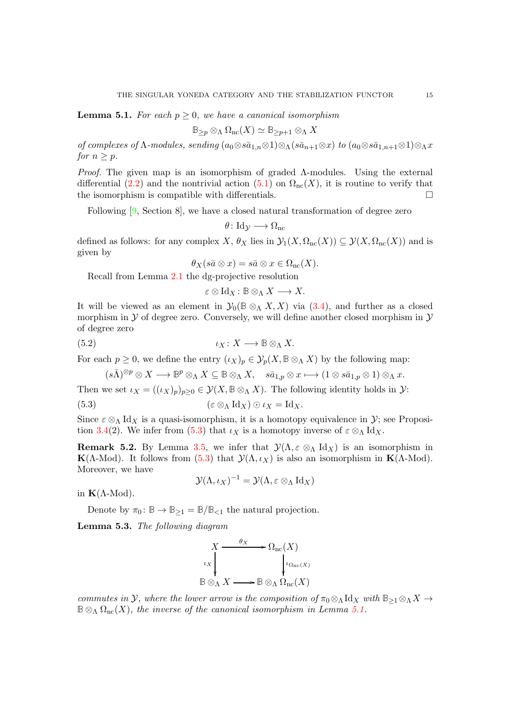<span id="page-14-5"></span><span id="page-14-2"></span>**Lemma 5.1.** For each  $p \geq 0$ , we have a canonical isomorphism

$$
\mathbb{B}_{\geq p}\otimes_{\Lambda}\Omega_{\rm nc}(X)\simeq \mathbb{B}_{\geq p+1}\otimes_{\Lambda} X
$$

of complexes of  $\Lambda$ -modules, sending  $(a_0 \otimes s\bar{a}_{1,n} \otimes 1) \otimes_\Lambda (s\bar{a}_{n+1} \otimes x)$  to  $(a_0 \otimes s\bar{a}_{1,n+1} \otimes 1) \otimes_\Lambda x$ for  $n > p$ .

*Proof.* The given map is an isomorphism of graded  $\Lambda$ -modules. Using the external differential [\(2.2\)](#page-3-4) and the nontrivial action [\(5.1\)](#page-13-0) on  $\Omega_{nc}(X)$ , it is routine to verify that the isomorphism is compatible with differentials.  $\Box$ 

Following [\[9,](#page-27-7) Section 8], we have a closed natural transformation of degree zero

$$
\theta\colon \mathrm{Id}_{\mathcal{Y}} \longrightarrow \Omega_{\mathrm{nc}}
$$

defined as follows: for any complex X,  $\theta_X$  lies in  $\mathcal{Y}_1(X, \Omega_{\rm nc}(X)) \subseteq \mathcal{Y}(X, \Omega_{\rm nc}(X))$  and is given by

$$
\theta_X(s\bar{a}\otimes x)=s\bar{a}\otimes x\in\Omega_{\rm nc}(X).
$$

Recall from Lemma [2.1](#page-4-2) the dg-projective resolution

 $\varepsilon \otimes \text{Id}_X : \mathbb{B} \otimes_{\Lambda} X \longrightarrow X.$ 

It will be viewed as an element in  $\mathcal{Y}_0(\mathbb{B} \otimes_A X, X)$  via [\(3.4\)](#page-8-3), and further as a closed morphism in  $\mathcal Y$  of degree zero. Conversely, we will define another closed morphism in  $\mathcal Y$ of degree zero

<span id="page-14-0"></span>(5.2) 
$$
\iota_X \colon X \longrightarrow \mathbb{B} \otimes_{\Lambda} X.
$$

For each  $p \geq 0$ , we define the entry  $(\iota_X)_p \in \mathcal{Y}_p(X, \mathbb{B} \otimes_{\Lambda} X)$  by the following map:

$$
(s\bar{\Lambda})^{\otimes p}\otimes X\longrightarrow \mathbb{B}^p\otimes_{\Lambda}X\subseteq \mathbb{B}\otimes_{\Lambda}X,\quad s\bar{a}_{1,p}\otimes x\longmapsto (1\otimes s\bar{a}_{1,p}\otimes 1)\otimes_{\Lambda}x.
$$

Then we set  $\iota_X = ((\iota_X)_p)_{p \geq 0} \in \mathcal{Y}(X, \mathbb{B} \otimes_{\Lambda} X)$ . The following identity holds in  $\mathcal{Y}$ :

<span id="page-14-1"></span>(5.3) 
$$
(\varepsilon \otimes_{\Lambda} \mathrm{Id}_X) \odot \iota_X = \mathrm{Id}_X.
$$

Since  $\varepsilon \otimes_{\Lambda} \text{Id}_X$  is a quasi-isomorphism, it is a homotopy equivalence in  $\mathcal{Y}$ ; see Proposi-tion [3.4\(](#page-8-1)2). We infer from [\(5.3\)](#page-14-1) that  $\iota_X$  is a homotopy inverse of  $\varepsilon \otimes_{\Lambda} \mathrm{Id}_X$ .

<span id="page-14-4"></span>**Remark 5.2.** By Lemma [3.5,](#page-8-4) we infer that  $\mathcal{Y}(\Lambda, \varepsilon \otimes_{\Lambda} \mathrm{Id}_X)$  is an isomorphism in K( $\Lambda$ -Mod). It follows from [\(5.3\)](#page-14-1) that  $\mathcal{Y}(\Lambda, \iota_X)$  is also an isomorphism in K( $\Lambda$ -Mod). Moreover, we have

$$
\mathcal{Y}(\Lambda, \iota_X)^{-1} = \mathcal{Y}(\Lambda, \varepsilon \otimes_{\Lambda} \mathrm{Id}_X)
$$

in  $K(Λ$ -Mod).

Denote by  $\pi_0: \mathbb{B} \to \mathbb{B}_{\geq 1} = \mathbb{B}/\mathbb{B}_{\leq 1}$  the natural projection.

<span id="page-14-3"></span>Lemma 5.3. The following diagram



commutes in Y, where the lower arrow is the composition of  $\pi_0 \otimes_\Lambda \mathrm{Id}_X$  with  $\mathbb{B}_{\geq 1} \otimes_\Lambda X \to$  $\mathbb{B}\otimes_{\Lambda}\Omega_{\rm nc}(X)$ , the inverse of the canonical isomorphism in Lemma [5.1.](#page-14-2)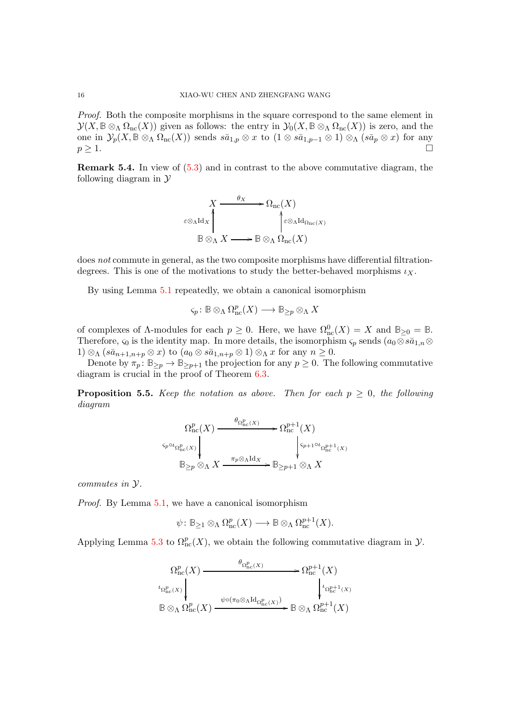*Proof.* Both the composite morphisms in the square correspond to the same element in  $\mathcal{Y}(X, \mathbb{B} \otimes_{\Lambda} \Omega_{\rm nc}(X))$  given as follows: the entry in  $\mathcal{Y}_0(X, \mathbb{B} \otimes_{\Lambda} \Omega_{\rm nc}(X))$  is zero, and the one in  $\mathcal{Y}_p(X, \mathbb{B} \otimes_{\Lambda} \Omega_{\rm nc}(X))$  sends  $s\bar{a}_{1,p} \otimes x$  to  $(1 \otimes s\bar{a}_{1,p-1} \otimes 1) \otimes_{\Lambda} (s\bar{a}_p \otimes x)$  for any  $p \geq 1$ .  $p \geq 1.$ 

Remark 5.4. In view of [\(5.3\)](#page-14-1) and in contrast to the above commutative diagram, the following diagram in  $\mathcal Y$ 

$$
X \xrightarrow{\theta_X} \Omega_{\text{nc}}(X)
$$
  
\n
$$
\varepsilon \otimes_{\Lambda} \text{Id}_X \uparrow \qquad \qquad \uparrow \varepsilon \otimes_{\Lambda} \text{Id}_{\Omega_{\text{nc}}(X)}
$$
  
\n
$$
\mathbb{B} \otimes_{\Lambda} X \longrightarrow \mathbb{B} \otimes_{\Lambda} \Omega_{\text{nc}}(X)
$$

does not commute in general, as the two composite morphisms have differential filtrationdegrees. This is one of the motivations to study the better-behaved morphisms  $\iota_X$ .

By using Lemma [5.1](#page-14-2) repeatedly, we obtain a canonical isomorphism

$$
\varsigma_p\colon \mathbb{B}\otimes_\Lambda\Omega^p_\mathrm{nc}(X)\longrightarrow \mathbb{B}_{\geq p}\otimes_\Lambda X
$$

of complexes of  $\Lambda$ -modules for each  $p \geq 0$ . Here, we have  $\Omega_{nc}^{0}(X) = X$  and  $\mathbb{B}_{\geq 0} = \mathbb{B}$ . Therefore,  $\varsigma_0$  is the identity map. In more details, the isomorphism  $\varsigma_p$  sends  $(a_0 \otimes s\bar{a}_{1,n} \otimes$ 1)  $\otimes_{\Lambda}$  (s $\bar{a}_{n+1,n+p} \otimes x$ ) to  $(a_0 \otimes s\bar{a}_{1,n+p} \otimes 1) \otimes_{\Lambda} x$  for any  $n \geq 0$ .

Denote by  $\pi_p : \mathbb{B}_{\geq p} \to \mathbb{B}_{\geq p+1}$  the projection for any  $p \geq 0$ . The following commutative diagram is crucial in the proof of Theorem [6.3.](#page-17-0)

<span id="page-15-0"></span>**Proposition 5.5.** Keep the notation as above. Then for each  $p \geq 0$ , the following diagram

$$
\Omega_{\text{nc}}^p(X) \xrightarrow{\theta_{\Omega_{\text{nc}}^p(X)}} \Omega_{\text{nc}}^{p+1}(X)
$$
\n
$$
\downarrow^{\zeta_p \circ \iota_{\Omega_{\text{nc}}^p(X)}} \downarrow^{\zeta_{p+1} \circ \iota_{\Omega_{\text{nc}}^{p+1}}(X)}
$$
\n
$$
\mathbb{B}_{\geq p} \otimes_{\Lambda} X \xrightarrow{\pi_p \otimes_{\Lambda} \text{Id}_X} \mathbb{B}_{\geq p+1} \otimes_{\Lambda} X
$$

commutes in Y.

Proof. By Lemma [5.1,](#page-14-2) we have a canonical isomorphism

$$
\psi\colon \mathbb{B}_{\geq 1}\otimes_{\Lambda}\Omega_{\mathop{\mathrm{nc}}\nolimits}^p(X)\longrightarrow \mathbb{B}\otimes_{\Lambda}\Omega_{\mathop{\mathrm{nc}}\nolimits}^{p+1}(X).
$$

Applying Lemma [5.3](#page-14-3) to  $\Omega_{nc}^{p}(X)$ , we obtain the following commutative diagram in  $\mathcal{Y}$ .

$$
\Omega_{\mathop{\mathrm{nc}}\nolimits}^p(X) \xrightarrow{\theta_{\Omega_{\mathop{\mathrm{nc}}\nolimits}^p(X)}} \Omega_{\mathop{\mathrm{nc}}\nolimits}^{p+1}(X)
$$
\n
$$
\downarrow_{\Omega_{\mathop{\mathrm{nc}}\nolimits}^p(X)} \downarrow_{\Omega_{\mathop{\mathrm{nc}}\nolimits}^{p+1}(X)}
$$
\n
$$
\mathbb{B} \otimes_{\Lambda} \Omega_{\mathop{\mathrm{nc}}\nolimits}^p(X) \xrightarrow{\psi \circ (\pi_0 \otimes_{\Lambda} \mathrm{Id}_{\Omega_{\mathop{\mathrm{nc}}\nolimits}^p(X))}} \mathbb{B} \otimes_{\Lambda} \Omega_{\mathop{\mathrm{nc}}\nolimits}^{p+1}(X)
$$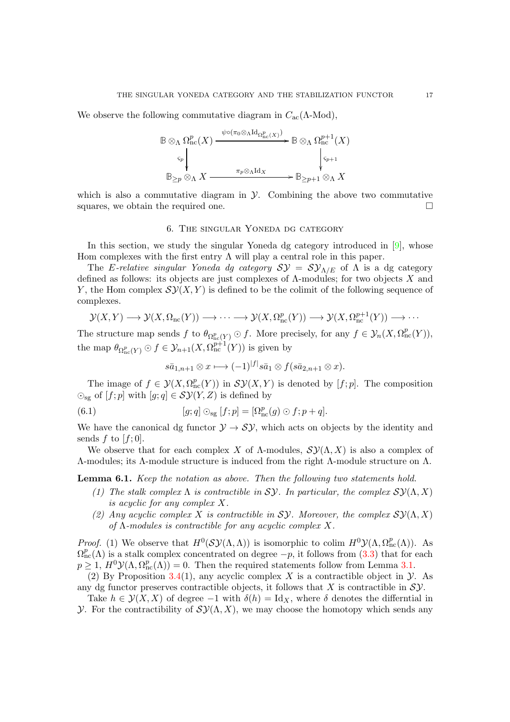<span id="page-16-3"></span>We observe the following commutative diagram in  $C_{\text{ac}}(\Lambda\text{-Mod}),$ 

$$
\mathbb{B} \otimes_{\Lambda} \Omega_{\mathop{\mathrm{nc}}\nolimits}^p(X) \xrightarrow{\psi \circ (\pi_0 \otimes_{\Lambda} \mathrm{Id}_{\Omega_{\mathop{\mathrm{nc}}\nolimits}^p(X))}} \mathbb{B} \otimes_{\Lambda} \Omega_{\mathop{\mathrm{nc}}\nolimits}^{p+1}(X)
$$
\n
$$
\xrightarrow[\pi_p \otimes_{\Lambda} \mathrm{Id}_X] \xrightarrow[\pi_p \otimes_{\Lambda} \mathrm{Id}_X] \mathbb{B}_{\geq p+1} \otimes_{\Lambda} X
$$

<span id="page-16-0"></span>which is also a commutative diagram in  $\mathcal Y$ . Combining the above two commutative squares, we obtain the required one.  $\Box$ 

### 6. The singular Yoneda dg category

In this section, we study the singular Yoneda dg category introduced in  $[9]$ , whose Hom complexes with the first entry  $\Lambda$  will play a central role in this paper.

The E-relative singular Yoneda dg category  $S\mathcal{Y} = S\mathcal{Y}_{\Lambda/E}$  of  $\Lambda$  is a dg category defined as follows: its objects are just complexes of  $\Lambda$ -modules; for two objects X and Y, the Hom complex  $\mathcal{SY}(X, Y)$  is defined to be the colimit of the following sequence of complexes.

$$
\mathcal{Y}(X,Y) \longrightarrow \mathcal{Y}(X,\Omega_{\rm nc}(Y)) \longrightarrow \cdots \longrightarrow \mathcal{Y}(X,\Omega_{\rm nc}^p(Y)) \longrightarrow \mathcal{Y}(X,\Omega_{\rm nc}^{p+1}(Y)) \longrightarrow \cdots
$$

The structure map sends f to  $\theta_{\Omega_{\text{nc}}^p(Y)} \odot f$ . More precisely, for any  $f \in \mathcal{Y}_n(X, \Omega_{\text{nc}}^p(Y)),$ the map  $\theta_{\Omega_{\text{nc}}^p(Y)} \odot f \in \mathcal{Y}_{n+1}(X, \Omega_{\text{nc}}^{p+1}(Y))$  is given by

$$
s\bar{a}_{1,n+1}\otimes x\longmapsto (-1)^{|f|}s\bar{a}_1\otimes f(s\bar{a}_{2,n+1}\otimes x).
$$

The image of  $f \in \mathcal{Y}(X, \Omega_{\text{nc}}^p(Y))$  in  $\mathcal{SY}(X, Y)$  is denoted by  $[f; p]$ . The composition  $\odot_{\text{sg}}$  of  $[f;p]$  with  $[g;q] \in \mathcal{SY}(Y,Z)$  is defined by

<span id="page-16-2"></span>(6.1) 
$$
[g;q] \odot_{\text{sg}} [f;p] = [\Omega_{\text{nc}}^p(g) \odot f; p+q].
$$

We have the canonical dg functor  $\mathcal{Y} \to \mathcal{SY}$ , which acts on objects by the identity and sends f to  $[f;0]$ .

We observe that for each complex X of  $\Lambda$ -modules,  $\mathcal{SY}(\Lambda,X)$  is also a complex of Λ-modules; its Λ-module structure is induced from the right Λ-module structure on Λ.

<span id="page-16-1"></span>Lemma 6.1. Keep the notation as above. Then the following two statements hold.

- (1) The stalk complex  $\Lambda$  is contractible in SY. In particular, the complex  $\mathcal{SY}(\Lambda,X)$ is acyclic for any complex X.
- (2) Any acyclic complex X is contractible in Sy. Moreover, the complex  $\mathcal{S} \mathcal{Y}(\Lambda, X)$ of  $\Lambda$ -modules is contractible for any acyclic complex X.

*Proof.* (1) We observe that  $H^0(S\mathcal{Y}(\Lambda,\Lambda))$  is isomorphic to colim  $H^0\mathcal{Y}(\Lambda,\Omega_{\rm nc}^p(\Lambda))$ . As  $\Omega_{\text{nc}}^p(\Lambda)$  is a stalk complex concentrated on degree  $-p$ , it follows from [\(3.3\)](#page-8-0) that for each  $p \geq 1$ ,  $H^0 \mathcal{Y}(\Lambda, \Omega_{\rm nc}^p(\Lambda)) = 0$ . Then the required statements follow from Lemma [3.1.](#page-6-0)

(2) By Proposition [3.4\(](#page-8-1)1), any acyclic complex X is a contractible object in  $\mathcal{Y}$ . As any dg functor preserves contractible objects, it follows that X is contractible in  $S$ *y*.

Take  $h \in \mathcal{Y}(X, X)$  of degree  $-1$  with  $\delta(h) = \mathrm{Id}_X$ , where  $\delta$  denotes the differntial in *Y*. For the contractibility of  $\mathcal{SY}(\Lambda, X)$ , we may choose the homotopy which sends any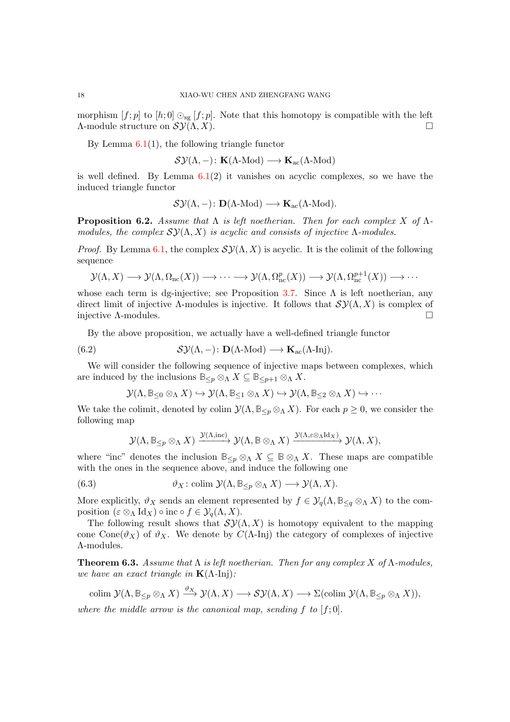morphism  $[f; p]$  to  $[h; 0] \odot_{\text{sg}} [f; p]$ . Note that this homotopy is compatible with the left  $\Lambda$ -module structure on  $\mathcal{SY}(\Lambda,X)$ .

By Lemma  $6.1(1)$  $6.1(1)$ , the following triangle functor

 $\mathcal{SY}(\Lambda,-)\colon\mathbf K(\Lambda\text{-Mod})\longrightarrow\mathbf K_\mathrm{ac}(\Lambda\text{-Mod})$ 

is well defined. By Lemma  $6.1(2)$  $6.1(2)$  it vanishes on acyclic complexes, so we have the induced triangle functor

$$
\mathcal{SY}(\Lambda,-)\colon \mathbf{D}(\Lambda\text{-Mod})\longrightarrow \mathbf{K}_{\mathrm{ac}}(\Lambda\text{-Mod}).
$$

<span id="page-17-3"></span>**Proposition 6.2.** Assume that  $\Lambda$  is left noetherian. Then for each complex X of  $\Lambda$ modules, the complex  $\mathcal{S} \mathcal{Y}(\Lambda, X)$  is acyclic and consists of injective  $\Lambda$ -modules.

*Proof.* By Lemma [6.1,](#page-16-1) the complex  $\mathcal{SY}(\Lambda, X)$  is acyclic. It is the colimit of the following sequence

$$
\mathcal{Y}(\Lambda, X) \longrightarrow \mathcal{Y}(\Lambda, \Omega_{\rm nc}(X)) \longrightarrow \cdots \longrightarrow \mathcal{Y}(\Lambda, \Omega_{\rm nc}^p(X)) \longrightarrow \mathcal{Y}(\Lambda, \Omega_{\rm nc}^{p+1}(X)) \longrightarrow \cdots
$$

whose each term is dg-injective; see Proposition [3.7.](#page-9-0) Since  $\Lambda$  is left noetherian, any direct limit of injective Λ-modules is injective. It follows that  $\mathcal{SY}(\Lambda,X)$  is complex of injective  $\Lambda$ -modules.

By the above proposition, we actually have a well-defined triangle functor

<span id="page-17-2"></span>(6.2) 
$$
\mathcal{SY}(\Lambda,-): \mathbf{D}(\Lambda\text{-Mod}) \longrightarrow \mathbf{K}_{ac}(\Lambda\text{-Inj}).
$$

We will consider the following sequence of injective maps between complexes, which are induced by the inclusions  $\mathbb{B}_{\leq p} \otimes_{\Lambda} X \subseteq \mathbb{B}_{\leq p+1} \otimes_{\Lambda} X$ .

$$
\mathcal{Y}(\Lambda, \mathbb{B}_{\leq 0} \otimes_{\Lambda} X) \hookrightarrow \mathcal{Y}(\Lambda, \mathbb{B}_{\leq 1} \otimes_{\Lambda} X) \hookrightarrow \mathcal{Y}(\Lambda, \mathbb{B}_{\leq 2} \otimes_{\Lambda} X) \hookrightarrow \cdots
$$

We take the colimit, denoted by colim  $\mathcal{Y}(\Lambda, \mathbb{B}_{\leq p} \otimes_{\Lambda} X)$ . For each  $p \geq 0$ , we consider the following map

$$
\mathcal{Y}(\Lambda, \mathbb{B}_{\leq p} \otimes_{\Lambda} X) \xrightarrow{\mathcal{Y}(\Lambda, \mathrm{inc})} \mathcal{Y}(\Lambda, \mathbb{B} \otimes_{\Lambda} X) \xrightarrow{\mathcal{Y}(\Lambda, \varepsilon \otimes_{\Lambda} \mathrm{Id}_X)} \mathcal{Y}(\Lambda, X),
$$

where "inc" denotes the inclusion  $\mathbb{B}_{\leq p} \otimes_{\Lambda} X \subseteq \mathbb{B} \otimes_{\Lambda} X$ . These maps are compatible with the ones in the sequence above, and induce the following one

<span id="page-17-1"></span>(6.3) 
$$
\vartheta_X : \text{colim } \mathcal{Y}(\Lambda, \mathbb{B}_{\leq p} \otimes_{\Lambda} X) \longrightarrow \mathcal{Y}(\Lambda, X).
$$

More explicitly,  $\vartheta_X$  sends an element represented by  $f \in \mathcal{Y}_q(\Lambda, \mathbb{B}_{\leq q} \otimes_{\Lambda} X)$  to the composition  $(\varepsilon \otimes_{\Lambda} \mathrm{Id}_X) \circ \mathrm{inc} \circ f \in \mathcal{Y}_a(\Lambda, X)$ .

The following result shows that  $\mathcal{SY}(\Lambda, X)$  is homotopy equivalent to the mapping cone Cone( $\vartheta_X$ ) of  $\vartheta_X$ . We denote by  $C(\Lambda$ -Inj) the category of complexes of injective Λ-modules.

<span id="page-17-0"></span>**Theorem 6.3.** Assume that  $\Lambda$  is left noetherian. Then for any complex X of  $\Lambda$ -modules, we have an exact triangle in  $K(\Lambda$ -Inj):

$$
\text{colim }\mathcal{Y}(\Lambda,\mathbb{B}_{\leq p}\otimes_{\Lambda}X)\xrightarrow{\vartheta_X}\mathcal{Y}(\Lambda,X)\longrightarrow\mathcal{SY}(\Lambda,X)\longrightarrow\Sigma(\text{colim }\mathcal{Y}(\Lambda,\mathbb{B}_{\leq p}\otimes_{\Lambda}X)),
$$

where the middle arrow is the canonical map, sending f to  $[f;0]$ .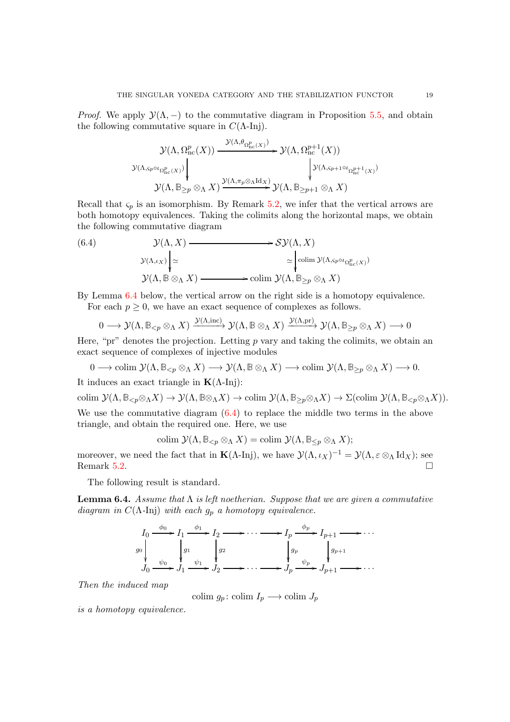*Proof.* We apply  $\mathcal{Y}(\Lambda, -)$  to the commutative diagram in Proposition [5.5,](#page-15-0) and obtain the following commutative square in  $C(\Lambda$ -Inj).

$$
\mathcal{Y}(\Lambda, \Omega_{\mathop{\mathrm{nc}}\nolimits}^p(X)) \xrightarrow{\mathcal{Y}(\Lambda, \theta_{\Omega_{\mathop{\mathrm{nc}}\nolimits}^p(X))}} \mathcal{Y}(\Lambda, \Omega_{\mathop{\mathrm{nc}}\nolimits}^{p+1}(X))
$$
\n
$$
\mathcal{Y}(\Lambda, \varsigma_{p \circ \iota_{\Omega_{\mathop{\mathrm{nc}}\nolimits}^p(X)}) \Big\downarrow_{\mathcal{Y}(\Lambda, \varsigma_{p+1} \circ \iota_{\Omega_{\mathop{\mathrm{nc}}\nolimits}^{p+1}(X))}} \mathcal{Y}(\Lambda, \mathbb{B}_{\geq p}) \otimes_{\Lambda} X \big)
$$

Recall that  $\varsigma_p$  is an isomorphism. By Remark [5.2,](#page-14-4) we infer that the vertical arrows are both homotopy equivalences. Taking the colimits along the horizontal maps, we obtain the following commutative diagram

<span id="page-18-1"></span>(6.4)  
\n
$$
\mathcal{Y}(\Lambda, X) \longrightarrow \mathcal{SY}(\Lambda, X)
$$
\n
$$
\mathcal{Y}(\Lambda, \mu_X) \Big| \simeq \bigg| \text{colim } \mathcal{Y}(\Lambda, \mu_X, \mu_{\Omega_{\Omega_{\text{nc}}(X)})}
$$
\n
$$
\mathcal{Y}(\Lambda, \mathbb{B} \otimes_{\Lambda} X) \longrightarrow \text{colim } \mathcal{Y}(\Lambda, \mu_X, \mu_X, \mu_X)
$$

By Lemma [6.4](#page-18-0) below, the vertical arrow on the right side is a homotopy equivalence.

For each  $p \geq 0$ , we have an exact sequence of complexes as follows.

$$
0 \longrightarrow \mathcal{Y}(\Lambda, \mathbb{B}_{< p} \otimes_{\Lambda} X) \xrightarrow{\mathcal{Y}(\Lambda, \mathrm{inc})} \mathcal{Y}(\Lambda, \mathbb{B} \otimes_{\Lambda} X) \xrightarrow{\mathcal{Y}(\Lambda, \mathrm{pr})} \mathcal{Y}(\Lambda, \mathbb{B}_{\geq p} \otimes_{\Lambda} X) \longrightarrow 0
$$

Here, "pr" denotes the projection. Letting  $p$  vary and taking the colimits, we obtain an exact sequence of complexes of injective modules

 $0 \longrightarrow \text{colim } \mathcal{Y}(\Lambda, \mathbb{B}_{\leq p} \otimes_{\Lambda} X) \longrightarrow \mathcal{Y}(\Lambda, \mathbb{B} \otimes_{\Lambda} X) \longrightarrow \text{colim } \mathcal{Y}(\Lambda, \mathbb{B}_{\geq p} \otimes_{\Lambda} X) \longrightarrow 0.$ 

It induces an exact triangle in  $\mathbf{K}(\Lambda\text{-Inj})$ :

colim  $\mathcal{Y}(\Lambda, \mathbb{B}_{\leq p} \otimes_{\Lambda} X) \to \mathcal{Y}(\Lambda, \mathbb{B} \otimes_{\Lambda} X) \to \text{colim } \mathcal{Y}(\Lambda, \mathbb{B}_{\geq p} \otimes_{\Lambda} X) \to \Sigma(\text{colim } \mathcal{Y}(\Lambda, \mathbb{B}_{\leq p} \otimes_{\Lambda} X)).$ We use the commutative diagram  $(6.4)$  to replace the middle two terms in the above triangle, and obtain the required one. Here, we use

colim  $\mathcal{Y}(\Lambda, \mathbb{B}_{\leq n} \otimes_{\Lambda} X) =$ colim  $\mathcal{Y}(\Lambda, \mathbb{B}_{\leq n} \otimes_{\Lambda} X)$ ;

moreover, we need the fact that in  $\mathbf{K}(\Lambda\text{-Inj})$ , we have  $\mathcal{Y}(\Lambda,\iota_X)^{-1} = \mathcal{Y}(\Lambda,\varepsilon \otimes_\Lambda \mathrm{Id}_X)$ ; see Remark [5.2.](#page-14-4)  $\Box$ 

The following result is standard.

<span id="page-18-0"></span>**Lemma 6.4.** Assume that  $\Lambda$  is left noetherian. Suppose that we are given a commutative diagram in  $C(\Lambda$ -Inj) with each  $g_p$  a homotopy equivalence.



Then the induced map

colim  $g_p$ : colim  $I_p \longrightarrow$  colim  $J_p$ 

is a homotopy equivalence.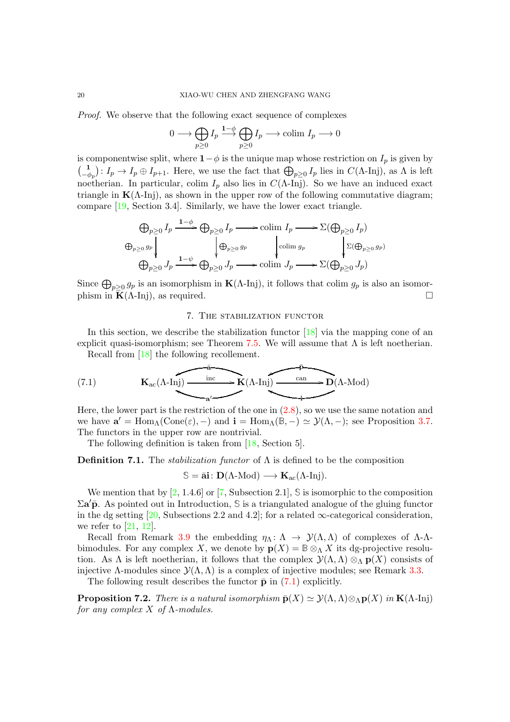<span id="page-19-3"></span>Proof. We observe that the following exact sequence of complexes

$$
0 \longrightarrow \bigoplus_{p \geq 0} I_p \stackrel{1-\phi}{\longrightarrow} \bigoplus_{p \geq 0} I_p \longrightarrow \text{colim } I_p \longrightarrow 0
$$

is componentwise split, where  $1-\phi$  is the unique map whose restriction on  $I_p$  is given by  $\begin{pmatrix} 1 \\ 1 \end{pmatrix}$  $\bigcup_{-\phi_p}^1: I_p \to I_p \oplus I_{p+1}$ . Here, we use the fact that  $\bigoplus_{p\geq 0} I_p$  lies in  $C(\Lambda\text{-Inj})$ , as  $\Lambda$  is left noetherian. In particular, colim  $I_p$  also lies in  $C(\Lambda$ -Inj). So we have an induced exact triangle in  $K(\Lambda$ -Inj), as shown in the upper row of the following commutative diagram; compare [\[19,](#page-27-9) Section 3.4]. Similarly, we have the lower exact triangle.

$$
\bigoplus_{p\geq 0} I_p \xrightarrow{1-\phi} \bigoplus_{p\geq 0} I_p \longrightarrow \text{colim } I_p \longrightarrow \Sigma(\bigoplus_{p\geq 0} I_p)
$$
  

$$
\bigoplus_{p\geq 0} g_p \downarrow \qquad \qquad \bigoplus_{p\geq 0} J_p \longrightarrow \text{colim } g_p \qquad \qquad \bigg\downarrow \Sigma(\bigoplus_{p\geq 0} g_p)
$$
  

$$
\bigoplus_{p\geq 0} J_p \xrightarrow{1-\psi} \bigoplus_{p\geq 0} J_p \longrightarrow \text{colim } J_p \longrightarrow \Sigma(\bigoplus_{p\geq 0} J_p)
$$

Since  $\bigoplus_{p\geq 0} g_p$  is an isomorphism in  $\mathbf{K}(\Lambda\text{-Inj})$ , it follows that colim  $g_p$  is also an isomorphism in  $\mathbf{K}(\Lambda\text{-In})$ , as required.

## 7. The stabilization functor

In this section, we describe the stabilization functor  $[18]$  via the mapping cone of an explicit quasi-isomorphism; see Theorem [7.5.](#page-21-0) We will assume that  $\Lambda$  is left noetherian. Recall from [\[18\]](#page-27-1) the following recollement.

<span id="page-19-1"></span>(7.1) 
$$
\mathbf{K}_{ac}(\Lambda\text{-Inj}) \xrightarrow{\text{inc}} \mathbf{K}(\Lambda\text{-Inj}) \xrightarrow{\text{can}} \mathbf{D}(\Lambda\text{-Mod})
$$

Here, the lower part is the restriction of the one in [\(2.8\)](#page-5-1), so we use the same notation and we have  $\mathbf{a}' = \text{Hom}_{\Lambda}(\text{Cone}(\varepsilon), -)$  and  $\mathbf{i} = \text{Hom}_{\Lambda}(\mathbb{B}, -) \simeq \mathcal{Y}(\Lambda, -)$ ; see Proposition [3.7.](#page-9-0) The functors in the upper row are nontrivial.

The following definition is taken from [\[18,](#page-27-1) Section 5].

<span id="page-19-2"></span>**Definition 7.1.** The *stabilization functor* of  $\Lambda$  is defined to be the composition

 $\mathbb{S} = \bar{\mathbf{a}}$ **i**:  $\mathbf{D}(\Lambda\text{-Mod}) \longrightarrow \mathbf{K}_{ac}(\Lambda\text{-Inj}).$ 

We mention that by [\[2,](#page-26-1) 1.4.6] or [\[7,](#page-26-2) Subsection 2.1], **S** is isomorphic to the composition Σa ′p¯. As pointed out in Introduction, **S** is a triangulated analogue of the gluing functor in the dg setting [\[20,](#page-27-4) Subsections 2.2 and 4.2]; for a related  $\infty$ -categorical consideration, we refer to  $[21, 12]$  $[21, 12]$ .

Recall from Remark [3.9](#page-9-2) the embedding  $\eta_{\Lambda} : \Lambda \to \mathcal{Y}(\Lambda, \Lambda)$  of complexes of  $\Lambda$ - $\Lambda$ bimodules. For any complex X, we denote by  $p(X) = B \otimes_{\Lambda} X$  its dg-projective resolution. As  $\Lambda$  is left noetherian, it follows that the complex  $\mathcal{Y}(\Lambda,\Lambda) \otimes_{\Lambda} \mathbf{p}(X)$  consists of injective Λ-modules since  $\mathcal{Y}(\Lambda,\Lambda)$  is a complex of injective modules; see Remark [3.3.](#page-8-2)

The following result describes the functor  $\bar{\mathbf{p}}$  in [\(7.1\)](#page-19-1) explicitly.

<span id="page-19-0"></span>**Proposition 7.2.** There is a natural isomorphism  $\bar{\mathbf{p}}(X) \simeq \mathcal{Y}(\Lambda, \Lambda) \otimes_{\Lambda} \mathbf{p}(X)$  in  $\mathbf{K}(\Lambda$ -Inj) for any complex  $X$  of  $\Lambda$ -modules.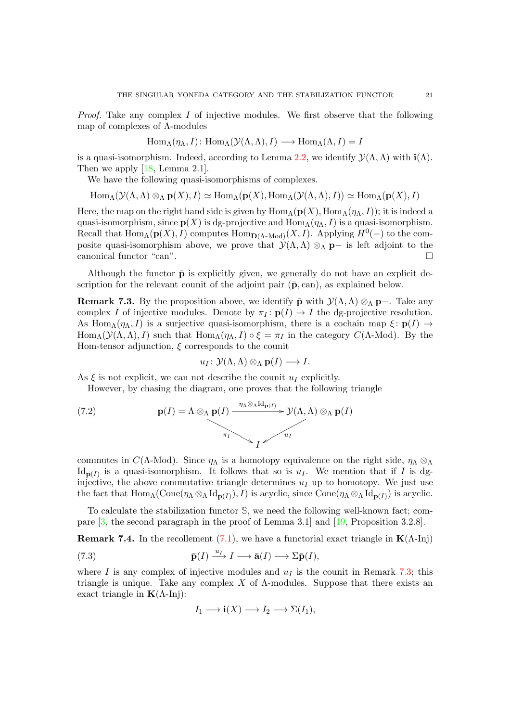<span id="page-20-3"></span>*Proof.* Take any complex  $I$  of injective modules. We first observe that the following map of complexes of Λ-modules

$$
Hom_{\Lambda}(\eta_{\Lambda}, I): Hom_{\Lambda}(\mathcal{Y}(\Lambda, \Lambda), I) \longrightarrow Hom_{\Lambda}(\Lambda, I) = I
$$

is a quasi-isomorphism. Indeed, according to Lemma [2.2,](#page-5-0) we identify  $\mathcal{Y}(\Lambda,\Lambda)$  with  $\mathbf{i}(\Lambda)$ . Then we apply [\[18,](#page-27-1) Lemma 2.1].

We have the following quasi-isomorphisms of complexes.

$$
\operatorname{Hom}_{\Lambda}(\mathcal{Y}(\Lambda, \Lambda) \otimes_{\Lambda} \mathbf{p}(X), I) \simeq \operatorname{Hom}_{\Lambda}(\mathbf{p}(X), \operatorname{Hom}_{\Lambda}(\mathcal{Y}(\Lambda, \Lambda), I)) \simeq \operatorname{Hom}_{\Lambda}(\mathbf{p}(X), I)
$$

Here, the map on the right hand side is given by  $\text{Hom}_{\Lambda}(\mathbf{p}(X), \text{Hom}_{\Lambda}(\eta_{\Lambda}, I));$  it is indeed a quasi-isomorphism, since  $p(X)$  is dg-projective and  $\text{Hom}_{\Lambda}(\eta_{\Lambda}, I)$  is a quasi-isomorphism. Recall that  $\text{Hom}_{\Lambda}(\mathbf{p}(X), I)$  computes  $\text{Hom}_{\mathbf{D}(\Lambda \text{-Mod})}(X, I)$ . Applying  $H^0(-)$  to the composite quasi-isomorphism above, we prove that  $\mathcal{Y}(\Lambda,\Lambda) \otimes_{\Lambda} \mathbf{p}-$  is left adjoint to the canonical functor "can".  $\Box$ 

Although the functor  $\bar{\mathbf{p}}$  is explicitly given, we generally do not have an explicit description for the relevant counit of the adjoint pair  $(\bar{p}, can)$ , as explained below.

<span id="page-20-0"></span>**Remark 7.3.** By the proposition above, we identify  $\bar{\mathbf{p}}$  with  $\mathcal{Y}(\Lambda,\Lambda) \otimes_{\Lambda} \mathbf{p}$ -. Take any complex I of injective modules. Denote by  $\pi_I : \mathbf{p}(I) \to I$  the dg-projective resolution. As Hom<sub>Λ</sub>( $\eta_{\Lambda}, I$ ) is a surjective quasi-isomorphism, there is a cochain map  $\xi : \mathbf{p}(I) \to$ Hom<sub>Λ</sub>( $\mathcal{Y}(\Lambda,\Lambda), I$ ) such that Hom<sub>Λ</sub>( $\eta_\Lambda, I$ )  $\circ \xi = \pi_I$  in the category  $C(\Lambda\text{-Mod})$ . By the Hom-tensor adjunction,  $\xi$  corresponds to the counit

$$
u_I\colon {\mathcal Y}(\Lambda,\Lambda)\otimes_\Lambda{\mathbf p}(I)\longrightarrow I.
$$

As  $\xi$  is not explicit, we can not describe the counit  $u_I$  explicitly.

However, by chasing the diagram, one proves that the following triangle

(7.2) 
$$
\mathbf{p}(I) = \Lambda \otimes_{\Lambda} \mathbf{p}(I) \xrightarrow{\eta_{\Lambda} \otimes_{\Lambda} \mathrm{Id}_{\mathbf{p}(I)}} \mathcal{Y}(\Lambda, \Lambda) \otimes_{\Lambda} \mathbf{p}(I)
$$

commutes in C( $\Lambda$ -Mod). Since  $\eta_{\Lambda}$  is a homotopy equivalence on the right side,  $\eta_{\Lambda} \otimes_{\Lambda}$  $\mathrm{Id}_{\mathbf{p}(I)}$  is a quasi-isomorphism. It follows that so is  $u_I$ . We mention that if I is dginjective, the above commutative triangle determines  $u_I$  up to homotopy. We just use the fact that  $\text{Hom}_{\Lambda}(\text{Cone}(\eta \wedge \otimes_{\Lambda} \text{Id}_{\mathbf{p}(I)}), I)$  is acyclic, since  $\text{Cone}(\eta \wedge \otimes_{\Lambda} \text{Id}_{\mathbf{p}(I)})$  is acyclic.

To calculate the stabilization functor **S**, we need the following well-known fact; compare [\[3,](#page-26-4) the second paragraph in the proof of Lemma 3.1] and [\[19,](#page-27-9) Proposition 3.2.8].

<span id="page-20-2"></span>**Remark 7.4.** In the recollement [\(7.1\)](#page-19-1), we have a functorial exact triangle in  $\mathbf{K}(\Lambda\text{-Inj})$ 

<span id="page-20-1"></span>(7.3) 
$$
\bar{\mathbf{p}}(I) \xrightarrow{u_I} I \longrightarrow \bar{\mathbf{a}}(I) \longrightarrow \Sigma \bar{\mathbf{p}}(I),
$$

where I is any complex of injective modules and  $u<sub>I</sub>$  is the counit in Remark [7.3;](#page-20-0) this triangle is unique. Take any complex  $X$  of  $\Lambda$ -modules. Suppose that there exists an exact triangle in  $K(\Lambda$ -Inj):

$$
I_1 \longrightarrow \mathbf{i}(X) \longrightarrow I_2 \longrightarrow \Sigma(I_1),
$$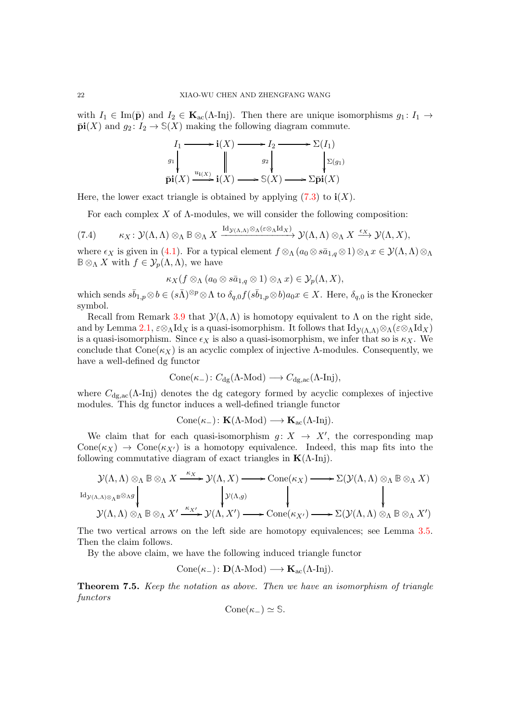with  $I_1 \in \text{Im}(\bar{\mathbf{p}})$  and  $I_2 \in \mathbf{K}_{ac}(\Lambda\text{-Inj})$ . Then there are unique isomorphisms  $g_1: I_1 \to$  $\bar{\mathbf{pi}}(X)$  and  $g_2: I_2 \to \mathbb{S}(X)$  making the following diagram commute.

$$
I_1 \longrightarrow i(X) \longrightarrow I_2 \longrightarrow \Sigma(I_1)
$$
  
\n
$$
g_1 \downarrow \qquad g_2 \downarrow \qquad \qquad \Sigma(g_1)
$$
  
\n
$$
\bar{p}i(X) \longrightarrow i(X) \longrightarrow S(X) \longrightarrow \Sigma \bar{p}i(X)
$$

Here, the lower exact triangle is obtained by applying  $(7.3)$  to  $\mathbf{i}(X)$ .

For each complex  $X$  of  $\Lambda$ -modules, we will consider the following composition:

<span id="page-21-1"></span>
$$
(7.4) \qquad \kappa_X\colon\mathcal{Y}(\Lambda,\Lambda)\otimes_\Lambda\mathbb{B}\otimes_\Lambda X\xrightarrow{\mathrm{Id}_{\mathcal{Y}(\Lambda,\Lambda)}\otimes_\Lambda(\varepsilon\otimes_\Lambda\mathrm{Id}_X)}\mathcal{Y}(\Lambda,\Lambda)\otimes_\Lambda X\xrightarrow{\varepsilon_X}\mathcal{Y}(\Lambda,X),
$$

where  $\epsilon_X$  is given in [\(4.1\)](#page-10-0). For a typical element  $f \otimes_\Lambda (a_0 \otimes s\bar{a}_{1,q} \otimes 1) \otimes_\Lambda x \in \mathcal{Y}(\Lambda, \Lambda) \otimes_\Lambda \Lambda$  $\mathbb{B}\otimes_{\Lambda} X$  with  $f \in \mathcal{Y}_p(\Lambda,\Lambda)$ , we have

$$
\kappa_X(f \otimes_\Lambda (a_0 \otimes s\bar{a}_{1,q} \otimes 1) \otimes_\Lambda x) \in \mathcal{Y}_p(\Lambda, X),
$$

which sends  $s\bar{b}_{1,p}\otimes b\in (s\bar{\Lambda})^{\otimes p}\otimes \Lambda$  to  $\delta_{q,0}f(s\bar{b}_{1,p}\otimes b)a_0x\in X$ . Here,  $\delta_{q,0}$  is the Kronecker symbol.

Recall from Remark [3.9](#page-9-2) that  $\mathcal{Y}(\Lambda,\Lambda)$  is homotopy equivalent to  $\Lambda$  on the right side, and by Lemma [2.1,](#page-4-2)  $\varepsilon \otimes_\Lambda \mathrm{Id}_X$  is a quasi-isomorphism. It follows that  $\mathrm{Id}_{\mathcal{V}(\Lambda,\Lambda)} \otimes_\Lambda (\varepsilon \otimes_\Lambda \mathrm{Id}_X)$ is a quasi-isomorphism. Since  $\epsilon_X$  is also a quasi-isomorphism, we infer that so is  $\kappa_X$ . We conclude that  $Cone(\kappa_X)$  is an acyclic complex of injective  $\Lambda$ -modules. Consequently, we have a well-defined dg functor

$$
Cone(\kappa_-): C_{dg}(\Lambda\text{-Mod}) \longrightarrow C_{dg,ac}(\Lambda\text{-Inj}),
$$

where  $C_{dg,ac}(\Lambda$ -Inj) denotes the dg category formed by acyclic complexes of injective modules. This dg functor induces a well-defined triangle functor

$$
\mathrm{Cone}(\kappa_-)\colon \mathbf{K}(\Lambda\text{-Mod})\longrightarrow \mathbf{K}_{\mathrm{ac}}(\Lambda\text{-Inj}).
$$

We claim that for each quasi-isomorphism  $g: X \rightarrow X'$ , the corresponding map  $Cone(\kappa_X) \rightarrow Cone(\kappa_{X'})$  is a homotopy equivalence. Indeed, this map fits into the following commutative diagram of exact triangles in  $K(\Lambda$ -Inj).

$$
\mathcal{Y}(\Lambda, \Lambda) \otimes_{\Lambda} \mathbb{B} \otimes_{\Lambda} X \xrightarrow{\kappa_X} \mathcal{Y}(\Lambda, X) \longrightarrow \text{Cone}(\kappa_X) \longrightarrow \Sigma(\mathcal{Y}(\Lambda, \Lambda) \otimes_{\Lambda} \mathbb{B} \otimes_{\Lambda} X)
$$
  
\n
$$
\downarrow \mathcal{Y}(\Lambda, \Lambda) \otimes_{\Lambda} \mathbb{B} \otimes_{\Lambda} X \xrightarrow{\kappa_X} \mathcal{Y}(\Lambda, X') \longrightarrow \text{Cone}(\kappa_{X'}) \longrightarrow \Sigma(\mathcal{Y}(\Lambda, \Lambda) \otimes_{\Lambda} \mathbb{B} \otimes_{\Lambda} X')
$$
  
\n
$$
\downarrow \downarrow \downarrow
$$
  
\n
$$
\mathcal{Y}(\Lambda, \Lambda) \otimes_{\Lambda} \mathbb{B} \otimes_{\Lambda} X' \xrightarrow{\kappa_{X'}} \mathcal{Y}(\Lambda, X') \longrightarrow \text{Cone}(\kappa_{X'}) \longrightarrow \Sigma(\mathcal{Y}(\Lambda, \Lambda) \otimes_{\Lambda} \mathbb{B} \otimes_{\Lambda} X')
$$

The two vertical arrows on the left side are homotopy equivalences; see Lemma [3.5.](#page-8-4) Then the claim follows.

By the above claim, we have the following induced triangle functor

Cone( $\kappa_{-}$ ):  $\mathbf{D}(\Lambda\text{-Mod}) \longrightarrow \mathbf{K}_{ac}(\Lambda\text{-Inj}).$ 

<span id="page-21-0"></span>Theorem 7.5. Keep the notation as above. Then we have an isomorphism of triangle functors

$$
Cone(\kappa_-) \simeq \mathbb{S}.
$$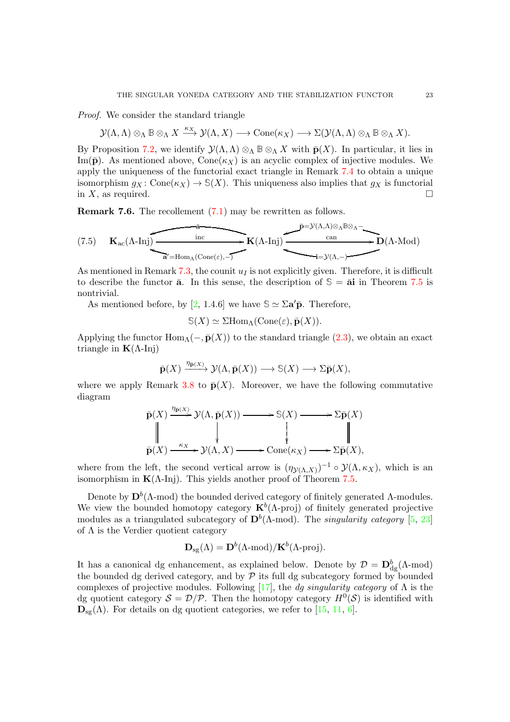<span id="page-22-0"></span>Proof. We consider the standard triangle

 $\mathcal{Y}(\Lambda,\Lambda) \otimes_{\Lambda} \mathbb{B} \otimes_{\Lambda} X \stackrel{\kappa_X}{\longrightarrow} \mathcal{Y}(\Lambda,X) \longrightarrow \operatorname{Cone}(\kappa_X) \longrightarrow \Sigma(\mathcal{Y}(\Lambda,\Lambda) \otimes_{\Lambda} \mathbb{B} \otimes_{\Lambda} X).$ 

By Proposition [7.2,](#page-19-0) we identify  $\mathcal{Y}(\Lambda,\Lambda) \otimes_{\Lambda} \mathbb{B} \otimes_{\Lambda} X$  with  $\bar{\mathbf{p}}(X)$ . In particular, it lies in Im( $\bar{\mathbf{p}}$ ). As mentioned above, Cone( $\kappa_X$ ) is an acyclic complex of injective modules. We apply the uniqueness of the functorial exact triangle in Remark [7.4](#page-20-2) to obtain a unique isomorphism  $q_X : \text{Cone}(\kappa_X) \to \mathcal{S}(X)$ . This uniqueness also implies that  $q_X$  is functorial in X, as required.  $\square$ 

Remark 7.6. The recollement [\(7.1\)](#page-19-1) may be rewritten as follows.

$$
(7.5) \quad \mathbf{K}_{\mathrm{ac}}(\Lambda\text{-Inj})\xrightarrow{\mathrm{inc}} \mathbf{K}(\Lambda\text{-Inj})\xrightarrow{\mathrm{can}} \mathbf{D}(\Lambda\text{-Mod})
$$

As mentioned in Remark [7.3,](#page-20-0) the counit  $u_I$  is not explicitly given. Therefore, it is difficult to describe the functor  $\bar{a}$ . In this sense, the description of  $\mathcal{S} = \bar{a}i$  in Theorem [7.5](#page-21-0) is nontrivial.

As mentioned before, by [\[2,](#page-26-1) 1.4.6] we have  $\mathcal{S} \simeq \Sigma \mathbf{a}' \bar{\mathbf{p}}$ . Therefore,

 $\mathcal{S}(X) \simeq \Sigma \text{Hom}_{\Lambda}(\text{Cone}(\varepsilon), \bar{\mathbf{p}}(X)).$ 

Applying the functor  $\text{Hom}_{\Lambda}(-,\bar{\mathbf{p}}(X))$  to the standard triangle [\(2.3\)](#page-3-0), we obtain an exact triangle in  $\mathbf{K}(\Lambda\text{-Inj})$ 

$$
\bar{\mathbf{p}}(X) \xrightarrow{\eta_{\bar{\mathbf{p}}(X)}} \mathcal{Y}(\Lambda, \bar{\mathbf{p}}(X)) \longrightarrow \mathbb{S}(X) \longrightarrow \Sigma \bar{\mathbf{p}}(X),
$$

where we apply Remark [3.8](#page-9-1) to  $\bar{p}(X)$ . Moreover, we have the following commutative diagram

$$
\bar{\mathbf{p}}(X) \xrightarrow{\eta_{\bar{\mathbf{p}}(X)}} \mathcal{Y}(\Lambda, \bar{\mathbf{p}}(X)) \longrightarrow \mathbb{S}(X) \longrightarrow \Sigma \bar{\mathbf{p}}(X)
$$
\n
$$
\parallel \qquad \qquad \parallel \qquad \qquad \parallel
$$
\n
$$
\bar{\mathbf{p}}(X) \xrightarrow{\kappa_X} \mathcal{Y}(\Lambda, X) \longrightarrow \text{Cone}(\kappa_X) \longrightarrow \Sigma \bar{\mathbf{p}}(X),
$$

where from the left, the second vertical arrow is  $(\eta_{\mathcal{Y}(\Lambda,X)})^{-1} \circ \mathcal{Y}(\Lambda,\kappa_X)$ , which is an isomorphism in  $K(\Lambda$ -Inj). This yields another proof of Theorem [7.5.](#page-21-0)

Denote by  $\mathbf{D}^b(\Lambda\text{-mod})$  the bounded derived category of finitely generated  $\Lambda\text{-modules.}$ We view the bounded homotopy category  $\mathbf{K}^b(\Lambda)$ -proj) of finitely generated projective modules as a triangulated subcategory of  $\mathbf{D}^b(\Lambda\text{-mod})$ . The *singularity category* [\[5,](#page-26-0) [23\]](#page-27-0) of  $\Lambda$  is the Verdier quotient category

$$
\mathbf{D}_{\rm sg}(\Lambda) = \mathbf{D}^b(\Lambda\text{-mod})/\mathbf{K}^b(\Lambda\text{-proj}).
$$

It has a canonical dg enhancement, as explained below. Denote by  $\mathcal{D} = D_{dg}^{b}(\Lambda \text{-mod})$ the bounded dg derived category, and by  $P$  its full dg subcategory formed by bounded complexes of projective modules. Following [\[17\]](#page-27-14), the dg singularity category of  $\Lambda$  is the dg quotient category  $S = \mathcal{D}/\mathcal{P}$ . Then the homotopy category  $H^0(\mathcal{S})$  is identified with  $\mathbf{D}_{sg}(\Lambda)$ . For details on dg quotient categories, we refer to [\[15,](#page-27-15) [11,](#page-27-16) [6\]](#page-26-5).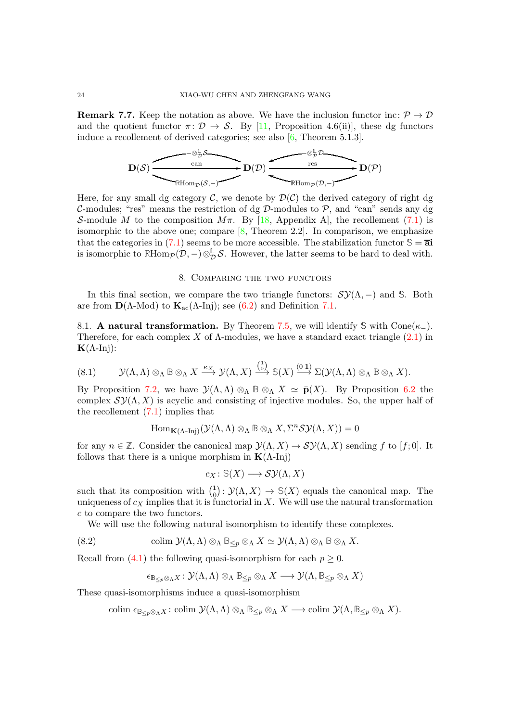<span id="page-23-3"></span>**Remark 7.7.** Keep the notation as above. We have the inclusion functor inc:  $\mathcal{P} \to \mathcal{D}$ and the quotient functor  $\pi: \mathcal{D} \to \mathcal{S}$ . By [\[11,](#page-27-16) Proposition 4.6(ii)], these dg functors induce a recollement of derived categories; see also [\[6,](#page-26-5) Theorem 5.1.3].



Here, for any small dg category  $\mathcal{C}$ , we denote by  $\mathcal{D}(\mathcal{C})$  the derived category of right dg C-modules; "res" means the restriction of dg  $D$ -modules to  $\mathcal{P}$ , and "can" sends any dg S-module M to the composition  $M\pi$ . By [\[18,](#page-27-1) Appendix A], the recollement [\(7.1\)](#page-19-1) is isomorphic to the above one; compare  $[8,$  Theorem 2.2. In comparison, we emphasize that the categories in  $(7.1)$  seems to be more accessible. The stabilization functor  $\mathcal{S} = \overline{\mathbf{a}}$ is isomorphic to  $\mathbb{R}$ Hom $_{\mathcal{P}}(\mathcal{D}, -) \otimes_{\mathcal{D}}^{\mathbb{L}} \mathcal{S}$ . However, the latter seems to be hard to deal with.

## 8. Comparing the two functors

<span id="page-23-0"></span>In this final section, we compare the two triangle functors:  $\mathcal{SY}(\Lambda, -)$  and **S**. Both are from  $\mathbf{D}(\Lambda\text{-Mod})$  to  $\mathbf{K}_{ac}(\Lambda\text{-Inj})$ ; see [\(6.2\)](#page-17-2) and Definition [7.1.](#page-19-2)

8.1. **A natural transformation.** By Theorem [7.5,](#page-21-0) we will identify  $\Im$  with Cone( $\kappa$ <sub>−</sub>). Therefore, for each complex X of  $\Lambda$ -modules, we have a standard exact triangle  $(2.1)$  in  $K(\Lambda$ -Inj):

<span id="page-23-2"></span>
$$
(8.1) \qquad \mathcal{Y}(\Lambda, \Lambda) \otimes_{\Lambda} \mathbb{B} \otimes_{\Lambda} X \xrightarrow{\kappa_X} \mathcal{Y}(\Lambda, X) \xrightarrow{\binom{1}{0}} \mathbb{S}(X) \xrightarrow{(0 1)} \Sigma(\mathcal{Y}(\Lambda, \Lambda) \otimes_{\Lambda} \mathbb{B} \otimes_{\Lambda} X).
$$

By Proposition [7.2,](#page-19-0) we have  $\mathcal{Y}(\Lambda,\Lambda) \otimes_{\Lambda} \mathbb{B} \otimes_{\Lambda} X \simeq \bar{\mathbf{p}}(X)$ . By Proposition [6.2](#page-17-3) the complex  $\mathcal{SV}(\Lambda, X)$  is acyclic and consisting of injective modules. So, the upper half of the recollement  $(7.1)$  implies that

$$
\mathrm{Hom}_{\mathbf{K}(\Lambda\text{-Inj})}(\mathcal{Y}(\Lambda,\Lambda)\otimes_{\Lambda}\mathbb{B}\otimes_{\Lambda}X,\Sigma^n\mathcal{SY}(\Lambda,X))=0
$$

for any  $n \in \mathbb{Z}$ . Consider the canonical map  $\mathcal{Y}(\Lambda, X) \to \mathcal{SY}(\Lambda, X)$  sending f to [f; 0]. It follows that there is a unique morphism in  $K(\Lambda$ -Inj)

$$
c_X\colon \mathbb{S}(X)\longrightarrow \mathcal{SY}(\Lambda,X)
$$

such that its composition with  $\binom{1}{0}$  $\mathcal{O}_0: \mathcal{Y}(\Lambda, X) \to \mathcal{S}(X)$  equals the canonical map. The uniqueness of  $c_X$  implies that it is functorial in X. We will use the natural transformation c to compare the two functors.

We will use the following natural isomorphism to identify these complexes.

<span id="page-23-1"></span>(8.2) 
$$
\text{colim }\mathcal{Y}(\Lambda,\Lambda)\otimes_{\Lambda}\mathbb{B}_{\leq p}\otimes_{\Lambda}X\simeq\mathcal{Y}(\Lambda,\Lambda)\otimes_{\Lambda}\mathbb{B}\otimes_{\Lambda}X.
$$

Recall from [\(4.1\)](#page-10-0) the following quasi-isomorphism for each  $p \geq 0$ .

$$
\epsilon_{\mathbb{B}_{\leq p}\otimes_{\Lambda}X}\colon \mathcal{Y}(\Lambda,\Lambda)\otimes_{\Lambda}\mathbb{B}_{\leq p}\otimes_{\Lambda}X\longrightarrow \mathcal{Y}(\Lambda,\mathbb{B}_{\leq p}\otimes_{\Lambda}X)
$$

These quasi-isomorphisms induce a quasi-isomorphism

$$
\text{colim } \epsilon_{\mathbb{B}_{\leq p} \otimes_{\Lambda} X} \colon \text{colim } \mathcal{Y}(\Lambda, \Lambda) \otimes_{\Lambda} \mathbb{B}_{\leq p} \otimes_{\Lambda} X \longrightarrow \text{colim } \mathcal{Y}(\Lambda, \mathbb{B}_{\leq p} \otimes_{\Lambda} X).
$$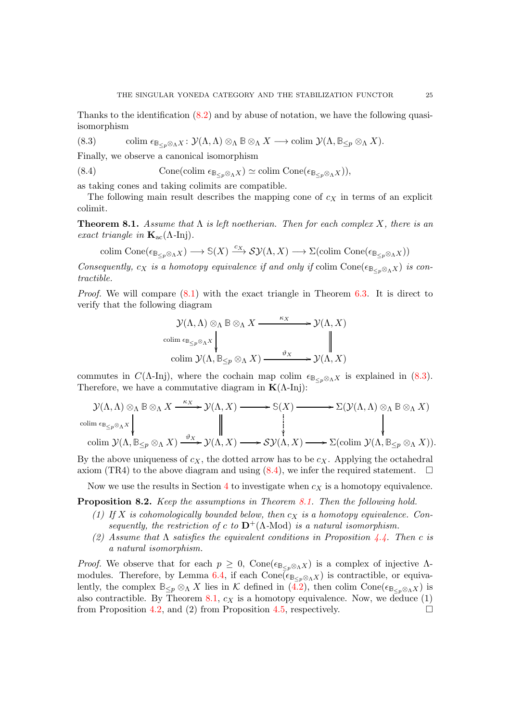Thanks to the identification [\(8.2\)](#page-23-1) and by abuse of notation, we have the following quasiisomorphism

<span id="page-24-1"></span>(8.3) colim 
$$
\epsilon_{\mathbb{B}_{\leq p}\otimes_{\Lambda}X}
$$
:  $\mathcal{Y}(\Lambda, \Lambda)\otimes_{\Lambda}\mathbb{B}\otimes_{\Lambda}X \longrightarrow \text{colim }\mathcal{Y}(\Lambda, \mathbb{B}_{\leq p}\otimes_{\Lambda}X).$ 

Finally, we observe a canonical isomorphism

<span id="page-24-2"></span>(8.4) Cone(colim 
$$
\epsilon_{\mathbb{B}_{\leq p} \otimes_{\Lambda} X}
$$
)  $\simeq$  colim Cone( $\epsilon_{\mathbb{B}_{\leq p} \otimes_{\Lambda} X}$ )),

as taking cones and taking colimits are compatible.

The following main result describes the mapping cone of  $c<sub>X</sub>$  in terms of an explicit colimit.

<span id="page-24-0"></span>**Theorem 8.1.** Assume that  $\Lambda$  is left noetherian. Then for each complex X, there is an exact triangle in  $\mathbf{K}_{ac}(\Lambda$ -Inj).

 $\text{colim Cone}(\epsilon_{\mathbb{B}_{\leq p} \otimes_{\Lambda} X}) \longrightarrow \mathbb{S}(X) \stackrel{c_X}{\longrightarrow} \mathcal{SV}(\Lambda, X) \longrightarrow \Sigma(\text{colim Cone}(\epsilon_{\mathbb{B}_{\leq p} \otimes_{\Lambda} X}))$ 

Consequently,  $c_X$  is a homotopy equivalence if and only if colim Cone( $\epsilon_{\mathbb{B}_{\leq n} \otimes_{\Lambda} X}$ ) is contractible.

*Proof.* We will compare  $(8.1)$  with the exact triangle in Theorem [6.3.](#page-17-0) It is direct to verify that the following diagram

$$
\mathcal{Y}(\Lambda, \Lambda) \otimes_{\Lambda} \mathbb{B} \otimes_{\Lambda} X \xrightarrow{\kappa_X} \mathcal{Y}(\Lambda, X)
$$
  
colim  $\epsilon_{\mathbb{B}_{\leq p} \otimes_{\Lambda} X} \downarrow \qquad \qquad \parallel$   
colim  $\mathcal{Y}(\Lambda, \mathbb{B}_{\leq p} \otimes_{\Lambda} X) \xrightarrow{\vartheta_X} \mathcal{Y}(\Lambda, X)$ 

commutes in  $C(\Lambda$ -Inj), where the cochain map colim  $\epsilon_{\mathbb{B}\ltimes_{\mathbb{B}}\otimes_{\Lambda}X}$  is explained in [\(8.3\)](#page-24-1). Therefore, we have a commutative diagram in  $K(\Lambda$ -Inj):

$$
\mathcal{Y}(\Lambda,\Lambda) \otimes_{\Lambda} \mathbb{B} \otimes_{\Lambda} X \xrightarrow{\kappa_X} \mathcal{Y}(\Lambda,X) \longrightarrow \mathbb{S}(X) \longrightarrow \Sigma(\mathcal{Y}(\Lambda,\Lambda) \otimes_{\Lambda} \mathbb{B} \otimes_{\Lambda} X)
$$
  
colim  $\mathfrak{e}_{\mathbb{E}_{\leq p} \otimes_{\Lambda} X} \downarrow \qquad \qquad \downarrow \qquad \qquad \downarrow$   
colim  $\mathcal{Y}(\Lambda, \mathbb{B}_{\leq p} \otimes_{\Lambda} X) \xrightarrow{\vartheta_X} \mathcal{Y}(\Lambda, X) \longrightarrow \mathcal{SY}(\Lambda, X) \longrightarrow \Sigma(\text{colim } \mathcal{Y}(\Lambda, \mathbb{B}_{\leq p} \otimes_{\Lambda} X)).$ 

By the above uniqueness of  $c_X$ , the dotted arrow has to be  $c_X$ . Applying the octahedral axiom (TR4) to the above diagram and using  $(8.4)$ , we infer the required statement.  $\Box$ 

Now we use the results in Section [4](#page-10-3) to investigate when  $c<sub>X</sub>$  is a homotopy equivalence.

<span id="page-24-3"></span>Proposition 8.2. Keep the assumptions in Theorem [8.1.](#page-24-0) Then the following hold.

- (1) If X is cohomologically bounded below, then  $c<sub>X</sub>$  is a homotopy equivalence. Consequently, the restriction of c to  $\mathbf{D}^{+}(\Lambda\text{-Mod})$  is a natural isomorphism.
- (2) Assume that  $\Lambda$  satisfies the equivalent conditions in Proposition [4.4.](#page-12-0) Then c is a natural isomorphism.

*Proof.* We observe that for each  $p \geq 0$ , Cone( $\epsilon_{\mathbb{B}_{\leq p} \otimes_{\Lambda} X}$ ) is a complex of injective  $\Lambda$ -modules. Therefore, by Lemma [6.4,](#page-18-0) if each  $Cone(\epsilon_{\mathbb{B}_{\leq p} \otimes_{\Lambda} X})$  is contractible, or equivalently, the complex  $\mathbb{B}_{\leq p} \otimes_{\Lambda} X$  lies in K defined in [\(4.2\)](#page-10-2), then colim Cone( $\epsilon_{\mathbb{B}_{\leq p} \otimes_{\Lambda} X}$ ) is also contractible. By Theorem [8.1,](#page-24-0)  $c_X$  is a homotopy equivalence. Now, we deduce  $(1)$ from Proposition [4.2,](#page-11-1) and (2) from Proposition [4.5,](#page-13-1) respectively.  $\Box$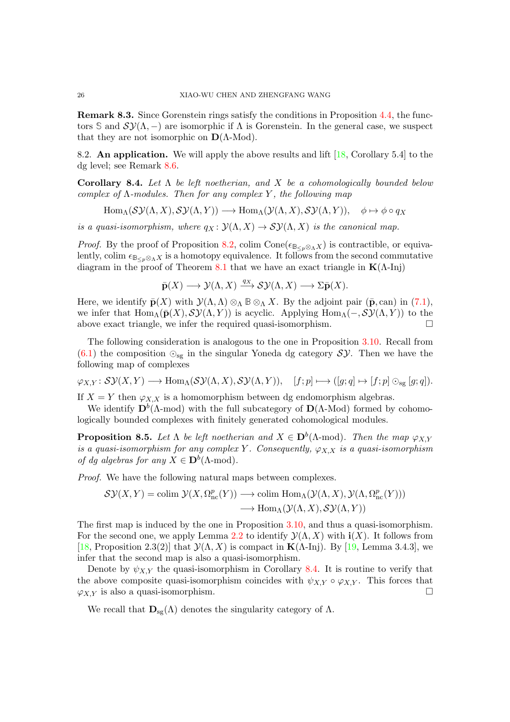Remark 8.3. Since Gorenstein rings satisfy the conditions in Proposition [4.4,](#page-12-0) the functors S and  $S\mathcal{Y}(\Lambda,-)$  are isomorphic if  $\Lambda$  is Gorenstein. In the general case, we suspect that they are not isomorphic on  $\mathbf{D}(\Lambda\text{-Mod})$ .

8.2. An application. We will apply the above results and lift [\[18,](#page-27-1) Corollary 5.4] to the dg level; see Remark [8.6.](#page-26-6)

<span id="page-25-0"></span>Corollary 8.4. Let  $\Lambda$  be left noetherian, and X be a cohomologically bounded below complex of  $\Lambda$ -modules. Then for any complex Y, the following map

 $\text{Hom}_{\Lambda}(\mathcal{SY}(\Lambda,X),\mathcal{SY}(\Lambda,Y)) \longrightarrow \text{Hom}_{\Lambda}(\mathcal{Y}(\Lambda,X),\mathcal{SY}(\Lambda,Y)), \phi \mapsto \phi \circ q_X$ 

is a quasi-isomorphism, where  $q_X : \mathcal{Y}(\Lambda, X) \to \mathcal{SY}(\Lambda, X)$  is the canonical map.

*Proof.* By the proof of Proposition [8.2,](#page-24-3) colim Cone( $\epsilon_{\mathbb{B}_{\leq p} \otimes_{\Lambda} X}$ ) is contractible, or equivalently, colim  $\epsilon_{\mathbb{B}_{\leq n} \otimes_{\Lambda} X}$  is a homotopy equivalence. It follows from the second commutative diagram in the proof of Theorem [8.1](#page-24-0) that we have an exact triangle in  $K(\Lambda$ -Inj)

 $\bar{\mathbf{p}}(X) \longrightarrow \mathcal{Y}(\Lambda, X) \stackrel{q_X}{\longrightarrow} \mathcal{SY}(\Lambda, X) \longrightarrow \Sigma \bar{\mathbf{p}}(X).$ 

Here, we identify  $\bar{\mathbf{p}}(X)$  with  $\mathcal{Y}(\Lambda,\Lambda) \otimes_{\Lambda} \mathbb{B} \otimes_{\Lambda} X$ . By the adjoint pair  $(\bar{\mathbf{p}}, \text{can})$  in  $(7.1)$ , we infer that  $\text{Hom}_{\Lambda}(\bar{\mathbf{p}}(X), \mathcal{SY}(\Lambda, Y))$  is acyclic. Applying  $\text{Hom}_{\Lambda}(-, \mathcal{SY}(\Lambda, Y))$  to the above exact triangle, we infer the required quasi-isomorphism.  $\Box$ 

The following consideration is analogous to the one in Proposition [3.10.](#page-9-3) Recall from [\(6.1\)](#page-16-2) the composition  $\odot_{sg}$  in the singular Yoneda dg category  $\mathcal{SY}$ . Then we have the following map of complexes

 $\varphi_{X,Y} : \mathcal{SY}(X,Y) \longrightarrow \text{Hom}_{\Lambda}(\mathcal{SY}(\Lambda,X),\mathcal{SY}(\Lambda,Y)), \quad [f; p] \longmapsto ([g; q] \mapsto [f; p] \odot_{\text{sg}} [g; q]).$ 

If  $X = Y$  then  $\varphi_{X,X}$  is a homomorphism between dg endomorphism algebras.

We identify  $\mathbf{D}^b(\Lambda\text{-mod})$  with the full subcategory of  $\mathbf{D}(\Lambda\text{-Mod})$  formed by cohomologically bounded complexes with finitely generated cohomological modules.

<span id="page-25-1"></span>**Proposition 8.5.** Let  $\Lambda$  be left noetherian and  $X \in D^b(\Lambda\text{-mod})$ . Then the map  $\varphi_{X,Y}$ is a quasi-isomorphism for any complex Y. Consequently,  $\varphi_{X,X}$  is a quasi-isomorphism of dg algebras for any  $X \in \mathbf{D}^b(\Lambda\text{-mod}).$ 

Proof. We have the following natural maps between complexes.

$$
S\mathcal{Y}(X,Y) = \text{colim }\mathcal{Y}(X,\Omega_{\text{nc}}^p(Y)) \longrightarrow \text{colim Hom}_{\Lambda}(\mathcal{Y}(\Lambda,X),\mathcal{Y}(\Lambda,\Omega_{\text{nc}}^p(Y)))
$$

$$
\longrightarrow \text{Hom}_{\Lambda}(\mathcal{Y}(\Lambda,X),\mathcal{SY}(\Lambda,Y))
$$

The first map is induced by the one in Proposition [3.10,](#page-9-3) and thus a quasi-isomorphism. For the second one, we apply Lemma [2.2](#page-5-0) to identify  $\mathcal{Y}(\Lambda, X)$  with  $\mathbf{i}(X)$ . It follows from [\[18,](#page-27-1) Proposition 2.3(2)] that  $\mathcal{Y}(\Lambda, X)$  is compact in  $\mathbf{K}(\Lambda$ -Inj). By [\[19,](#page-27-9) Lemma 3.4.3], we infer that the second map is also a quasi-isomorphism.

Denote by  $\psi_{XY}$  the quasi-isomorphism in Corollary [8.4.](#page-25-0) It is routine to verify that the above composite quasi-isomorphism coincides with  $\psi_{X,Y} \circ \varphi_{X,Y}$ . This forces that  $\varphi_{X,Y}$  is also a quasi-isomorphism.

We recall that  $\mathbf{D}_{\text{sg}}(\Lambda)$  denotes the singularity category of  $\Lambda$ .

<span id="page-25-2"></span>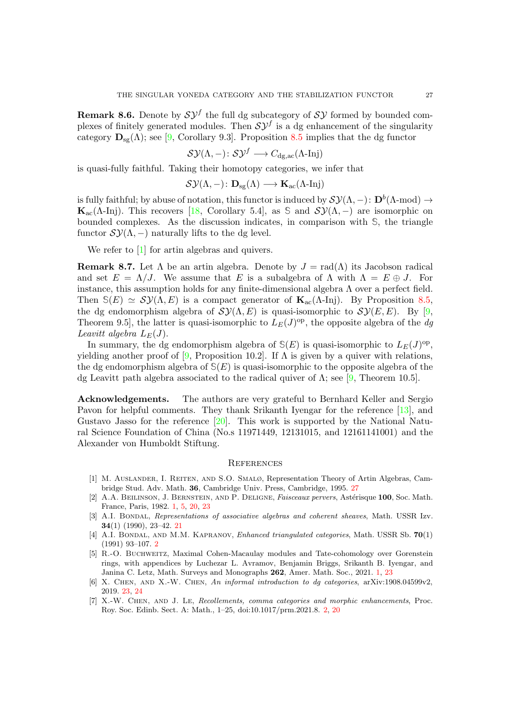<span id="page-26-8"></span><span id="page-26-6"></span>**Remark 8.6.** Denote by  $S\mathcal{Y}^f$  the full dg subcategory of  $S\mathcal{Y}$  formed by bounded complexes of finitely generated modules. Then  $S\mathcal{Y}^f$  is a dg enhancement of the singularity category  $\mathbf{D}_{sg}(\Lambda)$ ; see [\[9,](#page-27-7) Corollary 9.3]. Proposition [8.5](#page-25-1) implies that the dg functor

$$
\mathcal{SY}(\Lambda,-)\colon \mathcal{SY}^f\longrightarrow C_{\text{dg,ac}}(\Lambda\text{-Inj})
$$

is quasi-fully faithful. Taking their homotopy categories, we infer that

$$
\mathcal{SY}(\Lambda,-)\colon \mathbf{D}_{\mathrm{sg}}(\Lambda)\longrightarrow \mathbf{K}_{\mathrm{ac}}(\Lambda\text{-Inj})
$$

is fully faithful; by abuse of notation, this functor is induced by  $\mathcal{SY}(\Lambda,-) \colon \mathbf{D}^b(\Lambda\text{-mod}) \to$ **K**<sub>ac</sub>( $\Lambda$ -Inj). This recovers [\[18,](#page-27-1) Corollary 5.4], as  $\Im$  and  $\mathcal{SY}(\Lambda, -)$  are isomorphic on bounded complexes. As the discussion indicates, in comparison with **S**, the triangle functor  $\mathcal{SY}(\Lambda,-)$  naturally lifts to the dg level.

We refer to [\[1\]](#page-26-7) for artin algebras and quivers.

**Remark 8.7.** Let  $\Lambda$  be an artin algebra. Denote by  $J = \text{rad}(\Lambda)$  its Jacobson radical and set  $E = \Lambda/J$ . We assume that E is a subalgebra of  $\Lambda$  with  $\Lambda = E \oplus J$ . For instance, this assumption holds for any finite-dimensional algebra  $\Lambda$  over a perfect field. Then  $\mathcal{S}(E) \simeq \mathcal{SY}(\Lambda, E)$  is a compact generator of  $\mathbf{K}_{ac}(\Lambda\text{-Inj})$ . By Proposition [8.5,](#page-25-1) the dg endomorphism algebra of  $\mathcal{SY}(\Lambda, E)$  is quasi-isomorphic to  $\mathcal{SY}(E, E)$ . By [\[9,](#page-27-7) Theorem 9.5, the latter is quasi-isomorphic to  $L_E(J)$ <sup>op</sup>, the opposite algebra of the dg Leavitt algebra  $L_E(J)$ .

In summary, the dg endomorphism algebra of  $S(E)$  is quasi-isomorphic to  $L_E(J)$ <sup>op</sup>, yielding another proof of [\[9,](#page-27-7) Proposition 10.2]. If  $\Lambda$  is given by a quiver with relations, the dg endomorphism algebra of  $S(E)$  is quasi-isomorphic to the opposite algebra of the dg Leavitt path algebra associated to the radical quiver of  $\Lambda$ ; see [\[9,](#page-27-7) Theorem 10.5].

Acknowledgements. The authors are very grateful to Bernhard Keller and Sergio Pavon for helpful comments. They thank Srikanth Iyengar for the reference [\[13\]](#page-27-12), and Gustavo Jasso for the reference  $[20]$ . This work is supported by the National Natural Science Foundation of China (No.s 11971449, 12131015, and 12161141001) and the Alexander von Humboldt Stiftung.

#### **REFERENCES**

- <span id="page-26-7"></span>[1] M. Auslander, I. Reiten, and S.O. Smalø, Representation Theory of Artin Algebras, Cambridge Stud. Adv. Math. 36, Cambridge Univ. Press, Cambridge, 1995. [27](#page-26-8)
- <span id="page-26-1"></span>[2] A.A. BEILINSON, J. BERNSTEIN, AND P. DELIGNE, *Faisceaux pervers*, Astérisque 100, Soc. Math. France, Paris, 1982. [1,](#page-0-1) [5,](#page-4-4) [20,](#page-19-3) [23](#page-22-0)
- <span id="page-26-4"></span>[3] A.I. BONDAL, Representations of associative algebras and coherent sheaves, Math. USSR Izv. 34(1) (1990), 23–42. [21](#page-20-3)
- <span id="page-26-3"></span>[4] A.I. BONDAL, AND M.M. KAPRANOV, Enhanced triangulated categories, Math. USSR Sb. 70(1) (1991) 93–107. [2](#page-1-1)
- <span id="page-26-0"></span>[5] R.-O. Buchweitz, Maximal Cohen-Macaulay modules and Tate-cohomology over Gorenstein rings, with appendices by Luchezar L. Avramov, Benjamin Briggs, Srikanth B. Iyengar, and Janina C. Letz, Math. Surveys and Monographs 262, Amer. Math. Soc., 2021. [1,](#page-0-1) [23](#page-22-0)
- <span id="page-26-5"></span>[6] X. Chen, and X.-W. Chen, An informal introduction to dg categories, arXiv:1908.04599v2, 2019. [23,](#page-22-0) [24](#page-23-3)
- <span id="page-26-2"></span>[7] X.-W. Chen, and J. Le, Recollements, comma categories and morphic enhancements, Proc. Roy. Soc. Edinb. Sect. A: Math., 1–25, doi:10.1017/prm.2021.8. [2,](#page-1-1) [20](#page-19-3)